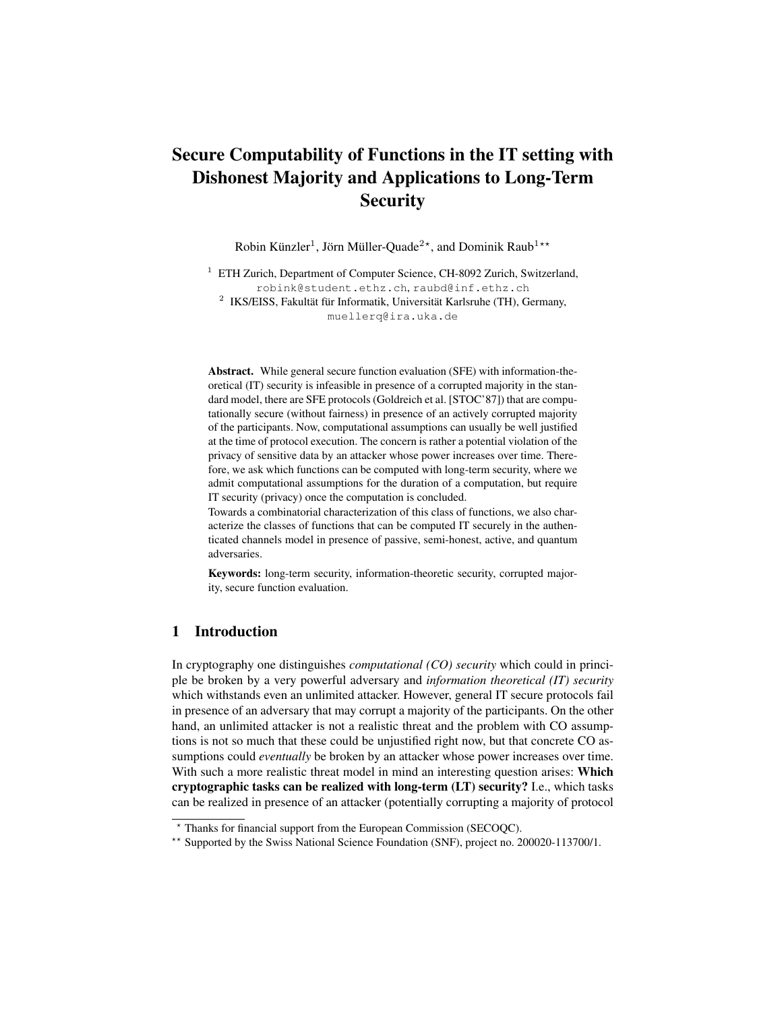# Secure Computability of Functions in the IT setting with Dishonest Majority and Applications to Long-Term **Security**

Robin Künzler<sup>1</sup>, Jörn Müller-Quade<sup>2\*</sup>, and Dominik Raub<sup>1\*\*</sup>

<sup>1</sup> ETH Zurich, Department of Computer Science, CH-8092 Zurich, Switzerland, robink@student.ethz.ch, raubd@inf.ethz.ch  $2$  IKS/EISS, Fakultät für Informatik, Universität Karlsruhe (TH), Germany,

muellerq@ira.uka.de

Abstract. While general secure function evaluation (SFE) with information-theoretical (IT) security is infeasible in presence of a corrupted majority in the standard model, there are SFE protocols (Goldreich et al. [STOC'87]) that are computationally secure (without fairness) in presence of an actively corrupted majority of the participants. Now, computational assumptions can usually be well justified at the time of protocol execution. The concern is rather a potential violation of the privacy of sensitive data by an attacker whose power increases over time. Therefore, we ask which functions can be computed with long-term security, where we admit computational assumptions for the duration of a computation, but require IT security (privacy) once the computation is concluded.

Towards a combinatorial characterization of this class of functions, we also characterize the classes of functions that can be computed IT securely in the authenticated channels model in presence of passive, semi-honest, active, and quantum adversaries.

Keywords: long-term security, information-theoretic security, corrupted majority, secure function evaluation.

## 1 Introduction

In cryptography one distinguishes *computational (CO) security* which could in principle be broken by a very powerful adversary and *information theoretical (IT) security* which withstands even an unlimited attacker. However, general IT secure protocols fail in presence of an adversary that may corrupt a majority of the participants. On the other hand, an unlimited attacker is not a realistic threat and the problem with CO assumptions is not so much that these could be unjustified right now, but that concrete CO assumptions could *eventually* be broken by an attacker whose power increases over time. With such a more realistic threat model in mind an interesting question arises: Which cryptographic tasks can be realized with long-term (LT) security? I.e., which tasks can be realized in presence of an attacker (potentially corrupting a majority of protocol

<sup>?</sup> Thanks for financial support from the European Commission (SECOQC).

<sup>\*\*</sup> Supported by the Swiss National Science Foundation (SNF), project no. 200020-113700/1.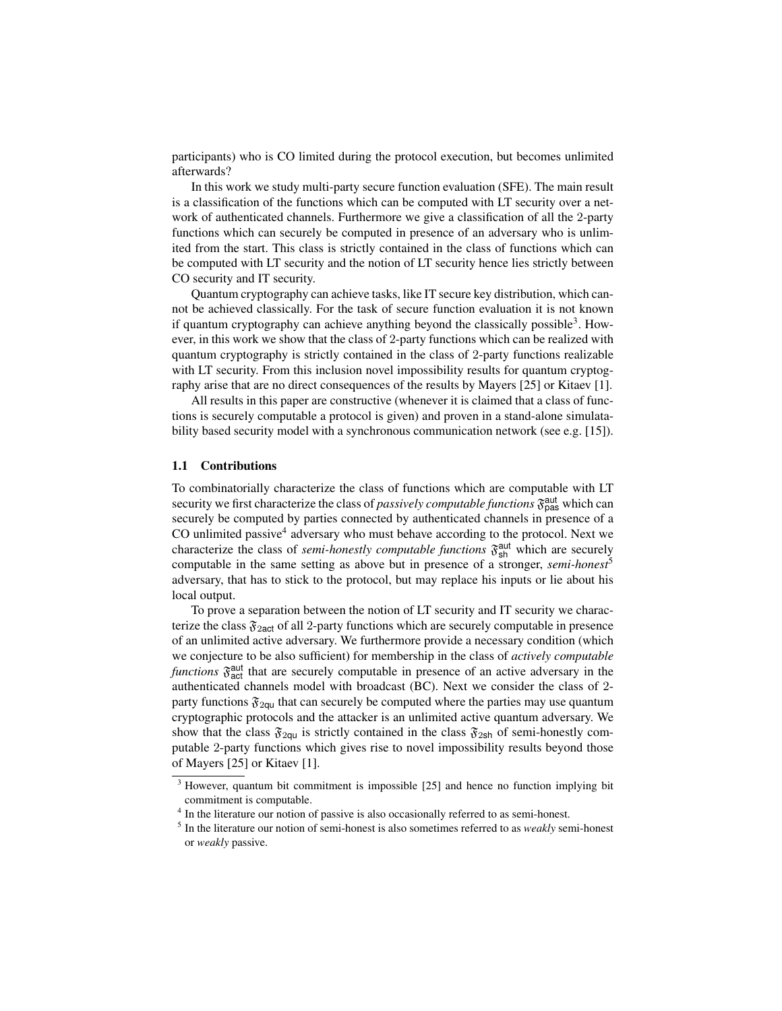participants) who is CO limited during the protocol execution, but becomes unlimited afterwards?

In this work we study multi-party secure function evaluation (SFE). The main result is a classification of the functions which can be computed with LT security over a network of authenticated channels. Furthermore we give a classification of all the 2-party functions which can securely be computed in presence of an adversary who is unlimited from the start. This class is strictly contained in the class of functions which can be computed with LT security and the notion of LT security hence lies strictly between CO security and IT security.

Quantum cryptography can achieve tasks, like IT secure key distribution, which cannot be achieved classically. For the task of secure function evaluation it is not known if quantum cryptography can achieve anything beyond the classically possible<sup>3</sup>. However, in this work we show that the class of 2-party functions which can be realized with quantum cryptography is strictly contained in the class of 2-party functions realizable with LT security. From this inclusion novel impossibility results for quantum cryptography arise that are no direct consequences of the results by Mayers [25] or Kitaev [1].

All results in this paper are constructive (whenever it is claimed that a class of functions is securely computable a protocol is given) and proven in a stand-alone simulatability based security model with a synchronous communication network (see e.g. [15]).

#### 1.1 Contributions

To combinatorially characterize the class of functions which are computable with LT security we first characterize the class of *passively computable functions*  $\mathfrak{F}_{\text{pas}}^{\text{aut}}$  which can securely be computed by parties connected by authenticated channels in presence of a CO unlimited passive<sup>4</sup> adversary who must behave according to the protocol. Next we characterize the class of *semi-honestly computable functions*  $\mathfrak{F}^{\text{aut}}_{sh}$  which are securely computable in the same setting as above but in presence of a stronger, *semi-honest*<sup>5</sup> adversary, that has to stick to the protocol, but may replace his inputs or lie about his local output.

To prove a separation between the notion of LT security and IT security we characterize the class  $\mathfrak{F}_{2act}$  of all 2-party functions which are securely computable in presence of an unlimited active adversary. We furthermore provide a necessary condition (which we conjecture to be also sufficient) for membership in the class of *actively computable* functions  $\mathfrak{F}^{\text{aut}}_{\text{act}}$  that are securely computable in presence of an active adversary in the authenticated channels model with broadcast (BC). Next we consider the class of 2 party functions  $\mathfrak{F}_{2\mathsf{qu}}$  that can securely be computed where the parties may use quantum cryptographic protocols and the attacker is an unlimited active quantum adversary. We show that the class  $\mathfrak{F}_{2qu}$  is strictly contained in the class  $\mathfrak{F}_{2sh}$  of semi-honestly computable 2-party functions which gives rise to novel impossibility results beyond those of Mayers [25] or Kitaev [1].

<sup>&</sup>lt;sup>3</sup> However, quantum bit commitment is impossible [25] and hence no function implying bit commitment is computable.

<sup>&</sup>lt;sup>4</sup> In the literature our notion of passive is also occasionally referred to as semi-honest.

<sup>5</sup> In the literature our notion of semi-honest is also sometimes referred to as *weakly* semi-honest or *weakly* passive.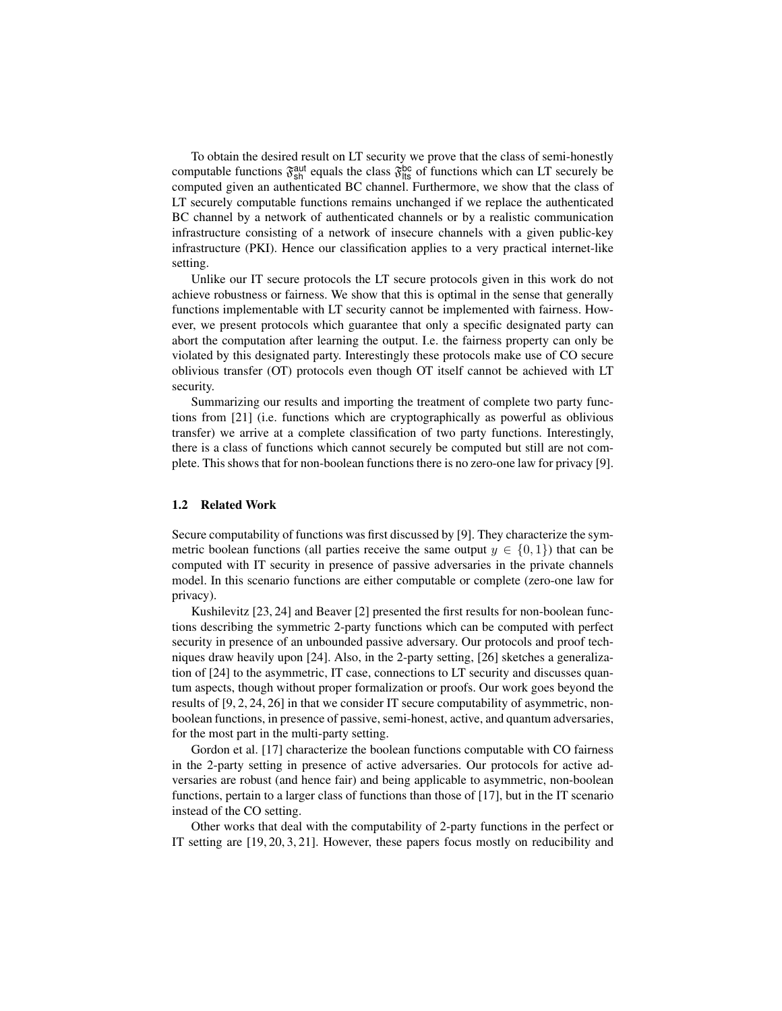To obtain the desired result on LT security we prove that the class of semi-honestly computable functions  $\mathfrak{F}_{sh}^{aut}$  equals the class  $\mathfrak{F}_{\text{lts}}^{bc}$  of functions which can LT securely be computed given an authenticated BC channel. Furthermore, we show that the class of LT securely computable functions remains unchanged if we replace the authenticated BC channel by a network of authenticated channels or by a realistic communication infrastructure consisting of a network of insecure channels with a given public-key infrastructure (PKI). Hence our classification applies to a very practical internet-like setting.

Unlike our IT secure protocols the LT secure protocols given in this work do not achieve robustness or fairness. We show that this is optimal in the sense that generally functions implementable with LT security cannot be implemented with fairness. However, we present protocols which guarantee that only a specific designated party can abort the computation after learning the output. I.e. the fairness property can only be violated by this designated party. Interestingly these protocols make use of CO secure oblivious transfer (OT) protocols even though OT itself cannot be achieved with LT security.

Summarizing our results and importing the treatment of complete two party functions from [21] (i.e. functions which are cryptographically as powerful as oblivious transfer) we arrive at a complete classification of two party functions. Interestingly, there is a class of functions which cannot securely be computed but still are not complete. This shows that for non-boolean functions there is no zero-one law for privacy [9].

#### 1.2 Related Work

Secure computability of functions was first discussed by [9]. They characterize the symmetric boolean functions (all parties receive the same output  $y \in \{0, 1\}$ ) that can be computed with IT security in presence of passive adversaries in the private channels model. In this scenario functions are either computable or complete (zero-one law for privacy).

Kushilevitz [23, 24] and Beaver [2] presented the first results for non-boolean functions describing the symmetric 2-party functions which can be computed with perfect security in presence of an unbounded passive adversary. Our protocols and proof techniques draw heavily upon [24]. Also, in the 2-party setting, [26] sketches a generalization of [24] to the asymmetric, IT case, connections to LT security and discusses quantum aspects, though without proper formalization or proofs. Our work goes beyond the results of [9, 2, 24, 26] in that we consider IT secure computability of asymmetric, nonboolean functions, in presence of passive, semi-honest, active, and quantum adversaries, for the most part in the multi-party setting.

Gordon et al. [17] characterize the boolean functions computable with CO fairness in the 2-party setting in presence of active adversaries. Our protocols for active adversaries are robust (and hence fair) and being applicable to asymmetric, non-boolean functions, pertain to a larger class of functions than those of [17], but in the IT scenario instead of the CO setting.

Other works that deal with the computability of 2-party functions in the perfect or IT setting are [19, 20, 3, 21]. However, these papers focus mostly on reducibility and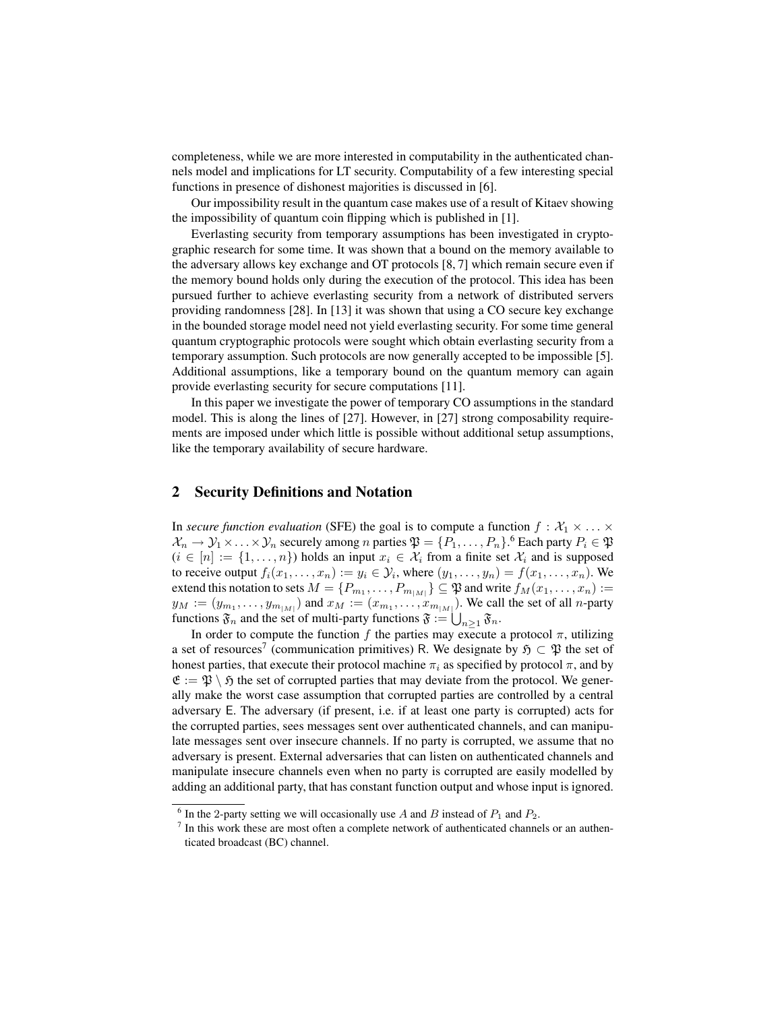completeness, while we are more interested in computability in the authenticated channels model and implications for LT security. Computability of a few interesting special functions in presence of dishonest majorities is discussed in [6].

Our impossibility result in the quantum case makes use of a result of Kitaev showing the impossibility of quantum coin flipping which is published in [1].

Everlasting security from temporary assumptions has been investigated in cryptographic research for some time. It was shown that a bound on the memory available to the adversary allows key exchange and OT protocols [8, 7] which remain secure even if the memory bound holds only during the execution of the protocol. This idea has been pursued further to achieve everlasting security from a network of distributed servers providing randomness [28]. In [13] it was shown that using a CO secure key exchange in the bounded storage model need not yield everlasting security. For some time general quantum cryptographic protocols were sought which obtain everlasting security from a temporary assumption. Such protocols are now generally accepted to be impossible [5]. Additional assumptions, like a temporary bound on the quantum memory can again provide everlasting security for secure computations [11].

In this paper we investigate the power of temporary CO assumptions in the standard model. This is along the lines of [27]. However, in [27] strong composability requirements are imposed under which little is possible without additional setup assumptions, like the temporary availability of secure hardware.

### 2 Security Definitions and Notation

In *secure function evaluation* (SFE) the goal is to compute a function  $f : \mathcal{X}_1 \times \ldots \times$  $\mathcal{X}_n \to \mathcal{Y}_1 \times \ldots \times \mathcal{Y}_n$  securely among n parties  $\mathfrak{P} = \{P_1, \ldots, P_n\}$ . Cach party  $P_i \in \mathfrak{P}$  $(i \in [n] := \{1, \ldots, n\})$  holds an input  $x_i \in \mathcal{X}_i$  from a finite set  $\mathcal{X}_i$  and is supposed to receive output  $f_i(x_1, \ldots, x_n) := y_i \in \mathcal{Y}_i$ , where  $(y_1, \ldots, y_n) = f(x_1, \ldots, x_n)$ . We extend this notation to sets  $M=\{P_{m_1},\ldots,P_{m_{|M|}}\}\subseteq \mathfrak{P}$  and write  $f_M(x_1,\ldots,x_n):=$  $y_M := (y_{m_1}, \ldots, y_{m_{|M|}})$  and  $x_M := (x_{m_1}, \ldots, x_{m_{|M|}})$ . We call the set of all *n*-party functions  $\mathfrak{F}_n$  and the set of multi-party functions  $\mathfrak{F} := \bigcup_{n \geq 1} \mathfrak{F}_n$ .

In order to compute the function f the parties may execute a protocol  $\pi$ , utilizing a set of resources<sup>7</sup> (communication primitives) R. We designate by  $\mathfrak{H} \subset \mathfrak{P}$  the set of honest parties, that execute their protocol machine  $\pi_i$  as specified by protocol  $\pi$ , and by  $\mathfrak{E} := \mathfrak{P} \setminus \mathfrak{H}$  the set of corrupted parties that may deviate from the protocol. We generally make the worst case assumption that corrupted parties are controlled by a central adversary E. The adversary (if present, i.e. if at least one party is corrupted) acts for the corrupted parties, sees messages sent over authenticated channels, and can manipulate messages sent over insecure channels. If no party is corrupted, we assume that no adversary is present. External adversaries that can listen on authenticated channels and manipulate insecure channels even when no party is corrupted are easily modelled by adding an additional party, that has constant function output and whose input is ignored.

<sup>&</sup>lt;sup>6</sup> In the 2-party setting we will occasionally use A and B instead of  $P_1$  and  $P_2$ .

 $<sup>7</sup>$  In this work these are most often a complete network of authenticated channels or an authen-</sup> ticated broadcast (BC) channel.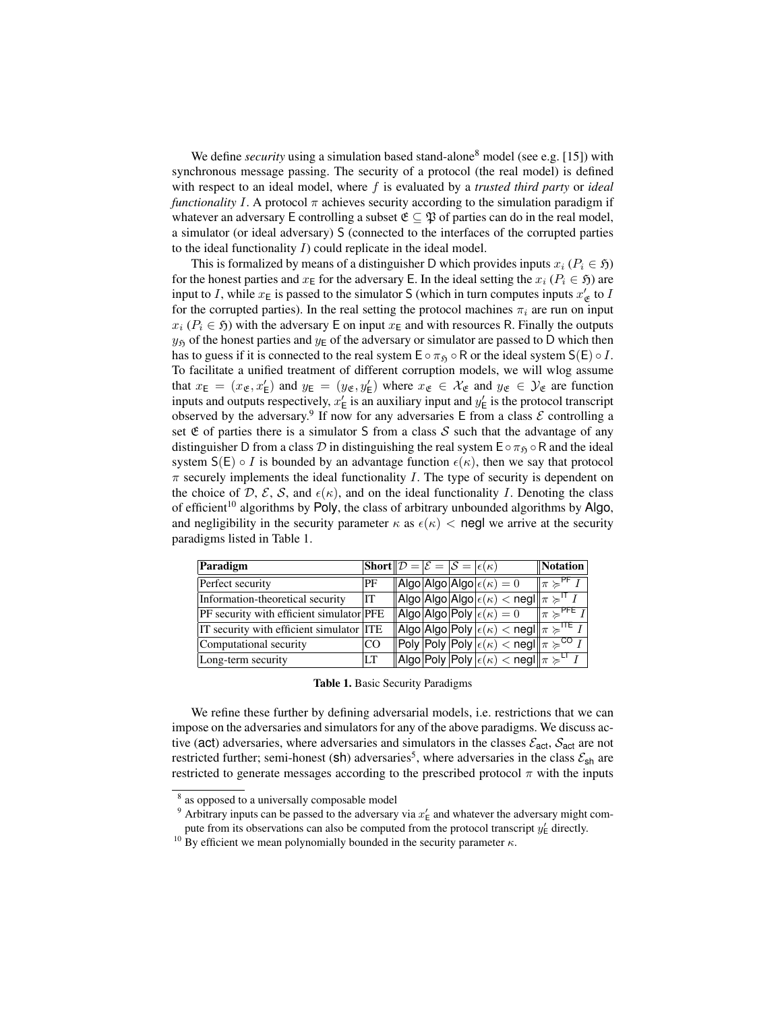We define *security* using a simulation based stand-alone<sup>8</sup> model (see e.g. [15]) with synchronous message passing. The security of a protocol (the real model) is defined with respect to an ideal model, where f is evaluated by a *trusted third party* or *ideal functionality* I. A protocol  $\pi$  achieves security according to the simulation paradigm if whatever an adversary E controlling a subset  $\mathfrak{E} \subseteq \mathfrak{P}$  of parties can do in the real model, a simulator (or ideal adversary) S (connected to the interfaces of the corrupted parties to the ideal functionality  $I$ ) could replicate in the ideal model.

This is formalized by means of a distinguisher D which provides inputs  $x_i$  ( $P_i \in \mathfrak{H}$ ) for the honest parties and  $x_E$  for the adversary E. In the ideal setting the  $x_i$  ( $P_i \in \mathfrak{H}$ ) are input to I, while  $x_E$  is passed to the simulator S (which in turn computes inputs  $x'_g$  to I for the corrupted parties). In the real setting the protocol machines  $\pi_i$  are run on input  $x_i$  ( $P_i \in \mathfrak{H}$ ) with the adversary E on input  $x_E$  and with resources R. Finally the outputs  $y<sub>5</sub>$  of the honest parties and  $y<sub>E</sub>$  of the adversary or simulator are passed to D which then has to guess if it is connected to the real system  $E \circ \pi_{\mathfrak{H}} \circ R$  or the ideal system  $S(E) \circ I$ . To facilitate a unified treatment of different corruption models, we will wlog assume that  $x_E = (x_{\mathfrak{E}}, x_E')$  and  $y_E = (y_{\mathfrak{E}}, y_E')$  where  $x_{\mathfrak{E}} \in \mathcal{X}_{\mathfrak{E}}$  and  $y_{\mathfrak{E}} \in \mathcal{Y}_{\mathfrak{E}}$  are function inputs and outputs respectively,  $x'_{\text{E}}$  is an auxiliary input and  $y'_{\text{E}}$  is the protocol transcript observed by the adversary.<sup>9</sup> If now for any adversaries E from a class  $\mathcal E$  controlling a set  $\mathfrak E$  of parties there is a simulator S from a class S such that the advantage of any distinguisher D from a class D in distinguishing the real system  $E \circ \pi_{\mathfrak{H}} \circ R$  and the ideal system  $S(E) \circ I$  is bounded by an advantage function  $\epsilon(\kappa)$ , then we say that protocol  $\pi$  securely implements the ideal functionality I. The type of security is dependent on the choice of D, E, S, and  $\epsilon(\kappa)$ , and on the ideal functionality I. Denoting the class of efficient<sup>10</sup> algorithms by Poly, the class of arbitrary unbounded algorithms by Algo, and negligibility in the security parameter  $\kappa$  as  $\epsilon(\kappa) <$  negl we arrive at the security paradigms listed in Table 1.

| Paradigm                                 | Short $\mathcal{D} = \mathcal{E} = \mathcal{S} = \epsilon(\kappa)$ |  |                                                                                                                                      | Notation                                                   |
|------------------------------------------|--------------------------------------------------------------------|--|--------------------------------------------------------------------------------------------------------------------------------------|------------------------------------------------------------|
| Perfect security                         | PF                                                                 |  | $\vert$  Algo $\vert$ Algo $\vert$ Algo $\vert \epsilon(\kappa)=0$                                                                   | $\ \pi \succcurlyeq^{\overline{\mathsf{PF}}}\mathcal{V}\ $ |
| Information-theoretical security         | IT                                                                 |  | $\ \textsf{Algo} \textsf{Algo} \textsf{Algo}  \epsilon(\kappa) < \textsf{negl} \ \pi\geqslant^{\textsf{IT}} I$                       |                                                            |
| PF security with efficient simulator PFE |                                                                    |  | $\ $ Algo $\ $ Algo $\ $ Poly $\left \epsilon(\kappa)=0\right $                                                                      | $\ \pi \succcurlyeq^{\textsf{PFE}} I\ $                    |
| IT security with efficient simulator ITE |                                                                    |  | $\ \mathsf{Algo} \mathsf{Algo} \mathsf{Poly}\, \epsilon(\kappa)<\mathsf{negl}\ \pi\succcurlyeq^{\mathsf{ITE}} I\ $                   |                                                            |
| Computational security                   | <sub>CO</sub>                                                      |  | $\overline{\ \mathsf{Poly}\, \mathsf{Poly}\, \mathsf{Poly}\, \epsilon(\kappa)} < \mathsf{negl}\ _{\pi} \succcurlyeq^{\mathsf{CO}} I$ |                                                            |
| Long-term security                       | LТ                                                                 |  | $\ $ Algo $ \mathsf{Poly}\ \mathsf{Poly}\ \epsilon(\kappa) < \mathsf{negl}\ _{\pi} \succcurlyeq^{\mathsf{LT}} I$                     |                                                            |

|  |  |  |  | Table 1. Basic Security Paradigms |
|--|--|--|--|-----------------------------------|
|--|--|--|--|-----------------------------------|

We refine these further by defining adversarial models, i.e. restrictions that we can impose on the adversaries and simulators for any of the above paradigms. We discuss active (act) adversaries, where adversaries and simulators in the classes  $\mathcal{E}_{act}$ ,  $\mathcal{S}_{act}$  are not restricted further; semi-honest (sh) adversaries<sup>5</sup>, where adversaries in the class  $\mathcal{E}_{sh}$  are restricted to generate messages according to the prescribed protocol  $\pi$  with the inputs

<sup>&</sup>lt;sup>8</sup> as opposed to a universally composable model

<sup>&</sup>lt;sup>9</sup> Arbitrary inputs can be passed to the adversary via  $x'_{\text{E}}$  and whatever the adversary might compute from its observations can also be computed from the protocol transcript  $y'_{\text{E}}$  directly.

<sup>&</sup>lt;sup>10</sup> By efficient we mean polynomially bounded in the security parameter  $κ$ .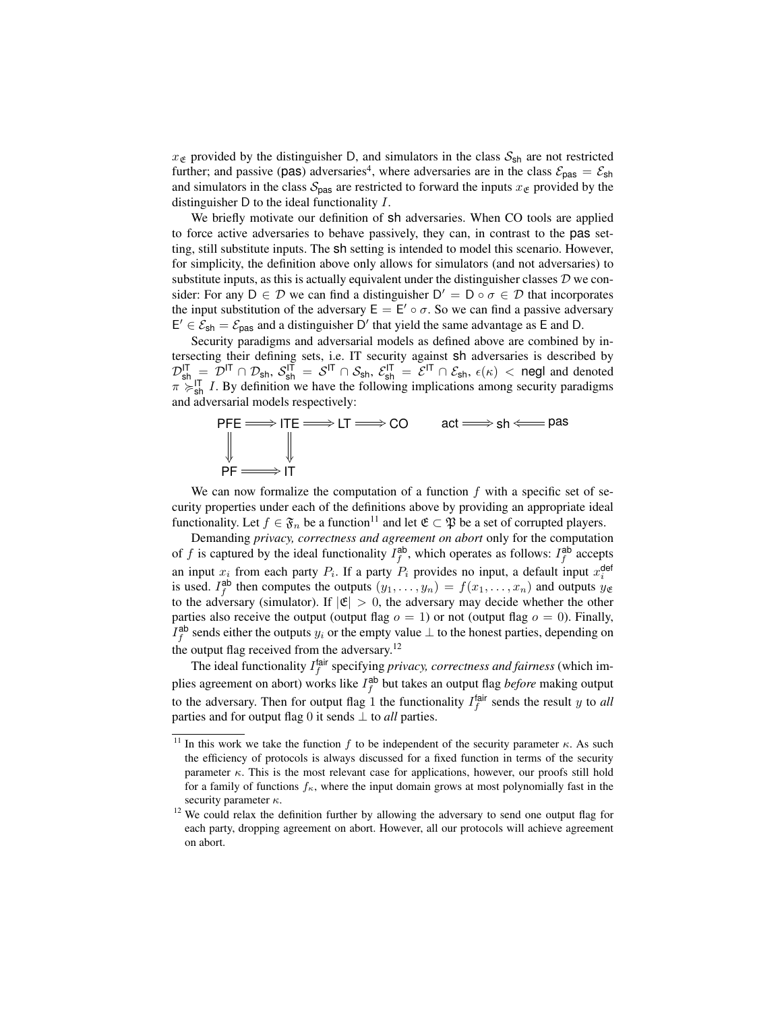$x_{\mathfrak{E}}$  provided by the distinguisher D, and simulators in the class  $S_{\rm sh}$  are not restricted further; and passive (pas) adversaries<sup>4</sup>, where adversaries are in the class  $\mathcal{E}_{\text{pas}} = \mathcal{E}_{\text{sh}}$ and simulators in the class  $S_{\text{pas}}$  are restricted to forward the inputs  $x_{\mathfrak{E}}$  provided by the distinguisher D to the ideal functionality I.

We briefly motivate our definition of sh adversaries. When CO tools are applied to force active adversaries to behave passively, they can, in contrast to the pas setting, still substitute inputs. The sh setting is intended to model this scenario. However, for simplicity, the definition above only allows for simulators (and not adversaries) to substitute inputs, as this is actually equivalent under the distinguisher classes  $D$  we consider: For any  $D \in \mathcal{D}$  we can find a distinguisher  $D' = D \circ \sigma \in \mathcal{D}$  that incorporates the input substitution of the adversary  $E = E' \circ \sigma$ . So we can find a passive adversary  $E' \in \mathcal{E}_{\text{sh}} = \mathcal{E}_{\text{pas}}$  and a distinguisher D' that yield the same advantage as E and D.

Security paradigms and adversarial models as defined above are combined by intersecting their defining sets, i.e. IT security against sh adversaries is described by  $\mathcal{D}_{sh}^{IT} = \mathcal{D}^{IT} \cap \mathcal{D}_{sh}, S_{sh}^{IT} = S^{IT} \cap \mathcal{S}_{sh}, \mathcal{E}_{sh}^{IT} = \mathcal{E}^{IT} \cap \mathcal{E}_{sh}, \epsilon(\kappa) <$  negl and denoted  $\pi \succ_{\text{sh}}^{\text{IT}} I$ . By definition we have the following implications among security paradigms and adversarial models respectively:



We can now formalize the computation of a function  $f$  with a specific set of security properties under each of the definitions above by providing an appropriate ideal functionality. Let  $f \in \mathfrak{F}_n$  be a function<sup>11</sup> and let  $\mathfrak{E} \subset \mathfrak{P}$  be a set of corrupted players.

Demanding *privacy, correctness and agreement on abort* only for the computation of f is captured by the ideal functionality  $I_f^{ab}$ , which operates as follows:  $I_f^{ab}$  accepts an input  $x_i$  from each party  $P_i$ . If a party  $P_i$  provides no input, a default input  $x_i^{\text{def}}$ is used.  $I_f^{ab}$  then computes the outputs  $(y_1, \ldots, y_n) = f(x_1, \ldots, x_n)$  and outputs  $y_{\mathfrak{E}}$ to the adversary (simulator). If  $|\mathfrak{E}| > 0$ , the adversary may decide whether the other parties also receive the output (output flag  $o = 1$ ) or not (output flag  $o = 0$ ). Finally,  $I_f^{\text{ab}}$  sends either the outputs  $y_i$  or the empty value  $\perp$  to the honest parties, depending on the output flag received from the adversary.<sup>12</sup>

The ideal functionality  $I_f^{\text{fair}}$  specifying *privacy, correctness and fairness* (which implies agreement on abort) works like  $I_f^{ab}$  but takes an output flag *before* making output to the adversary. Then for output flag 1 the functionality  $I_f^{\text{fair}}$  sends the result y to all parties and for output flag 0 it sends ⊥ to *all* parties.

<sup>&</sup>lt;sup>11</sup> In this work we take the function f to be independent of the security parameter  $\kappa$ . As such the efficiency of protocols is always discussed for a fixed function in terms of the security parameter  $\kappa$ . This is the most relevant case for applications, however, our proofs still hold for a family of functions  $f_{\kappa}$ , where the input domain grows at most polynomially fast in the security parameter  $\kappa$ .

<sup>&</sup>lt;sup>12</sup> We could relax the definition further by allowing the adversary to send one output flag for each party, dropping agreement on abort. However, all our protocols will achieve agreement on abort.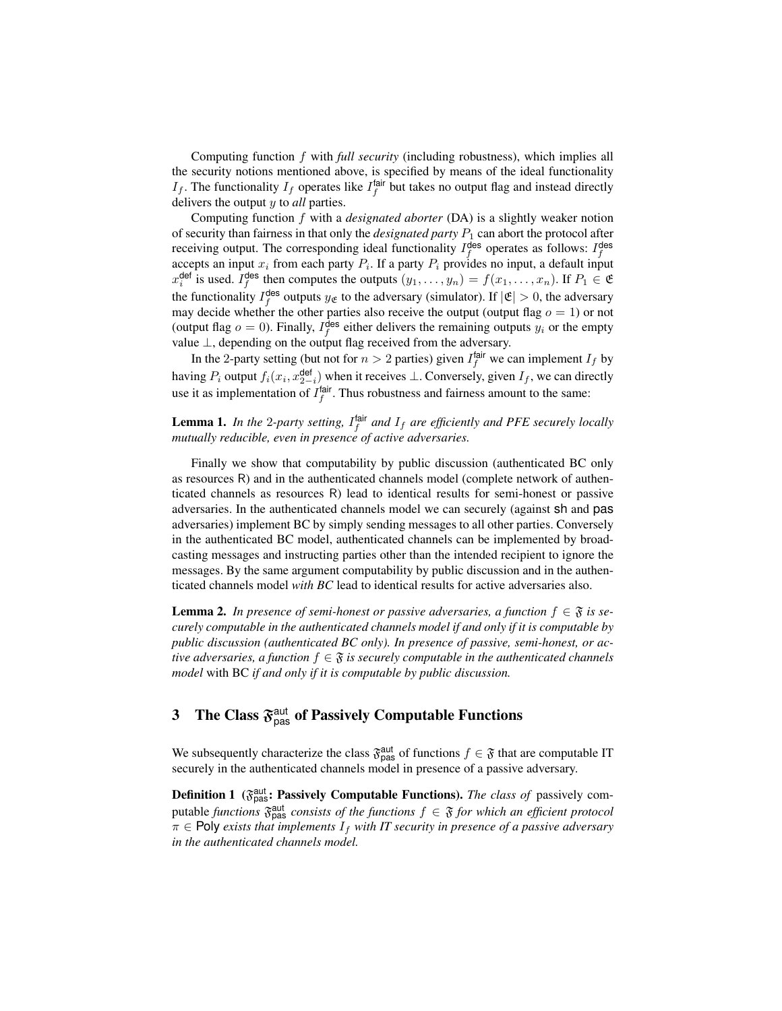Computing function f with *full security* (including robustness), which implies all the security notions mentioned above, is specified by means of the ideal functionality  $I_f$ . The functionality  $I_f$  operates like  $I_f^{\text{fair}}$  but takes no output flag and instead directly delivers the output y to *all* parties.

Computing function f with a *designated aborter* (DA) is a slightly weaker notion of security than fairness in that only the *designated party*  $P_1$  can abort the protocol after receiving output. The corresponding ideal functionality  $I_f^{\text{des}}$  operates as follows:  $I_f^{\text{des}}$  accepts an input  $x_i$  from each party  $P_i$ . If a party  $P_i$  provides no input, a default input  $x_i^{\text{def}}$  is used.  $I_f^{\text{des}}$  then computes the outputs  $(y_1, \ldots, y_n) = f(x_1, \ldots, x_n)$ . If  $P_1 \in \mathfrak{E}$ the functionality  $I_f^{\text{des}}$  outputs  $y_{\mathfrak{E}}$  to the adversary (simulator). If  $|\mathfrak{E}| > 0$ , the adversary may decide whether the other parties also receive the output (output flag  $o = 1$ ) or not (output flag  $o = 0$ ). Finally,  $I_f^{\text{des}}$  either delivers the remaining outputs  $y_i$  or the empty value ⊥, depending on the output flag received from the adversary.

In the 2-party setting (but not for  $n > 2$  parties) given  $I_f^{\text{fair}}$  we can implement  $I_f$  by having  $P_i$  output  $f_i(x_i, x_{2-i}^{\text{def}})$  when it receives  $\perp$ . Conversely, given  $I_f$ , we can directly use it as implementation of  $I_f^{\text{fair}}$ . Thus robustness and fairness amount to the same:

### **Lemma 1.** In the 2-party setting,  $I_f^{\text{fair}}$  and  $I_f$  are efficiently and PFE securely locally *mutually reducible, even in presence of active adversaries.*

Finally we show that computability by public discussion (authenticated BC only as resources R) and in the authenticated channels model (complete network of authenticated channels as resources R) lead to identical results for semi-honest or passive adversaries. In the authenticated channels model we can securely (against sh and pas adversaries) implement BC by simply sending messages to all other parties. Conversely in the authenticated BC model, authenticated channels can be implemented by broadcasting messages and instructing parties other than the intended recipient to ignore the messages. By the same argument computability by public discussion and in the authenticated channels model *with BC* lead to identical results for active adversaries also.

**Lemma 2.** In presence of semi-honest or passive adversaries, a function  $f \in \mathfrak{F}$  is se*curely computable in the authenticated channels model if and only if it is computable by public discussion (authenticated BC only). In presence of passive, semi-honest, or active adversaries, a function*  $f \in \mathfrak{F}$  *is securely computable in the authenticated channels model* with BC *if and only if it is computable by public discussion.*

# **3** The Class  $\mathfrak{F}^{\text{aut}}_{\text{pas}}$  of Passively Computable Functions

We subsequently characterize the class  $\mathfrak{F}_{\text{pas}}^{\text{aut}}$  of functions  $f \in \mathfrak{F}$  that are computable IT securely in the authenticated channels model in presence of a passive adversary.

**Definition 1** ( $\mathfrak{F}_{\text{pas}}^{\text{aut}}$ : Passively Computable Functions). *The class of* passively computable *functions*  $\mathfrak{F}_{\text{pas}}^{\text{aut}}$  *consists of the functions*  $f \in \mathfrak{F}$  *for which an efficient protocol*  $\pi \in$  **Poly** exists that implements  $I_f$  with IT security in presence of a passive adversary *in the authenticated channels model.*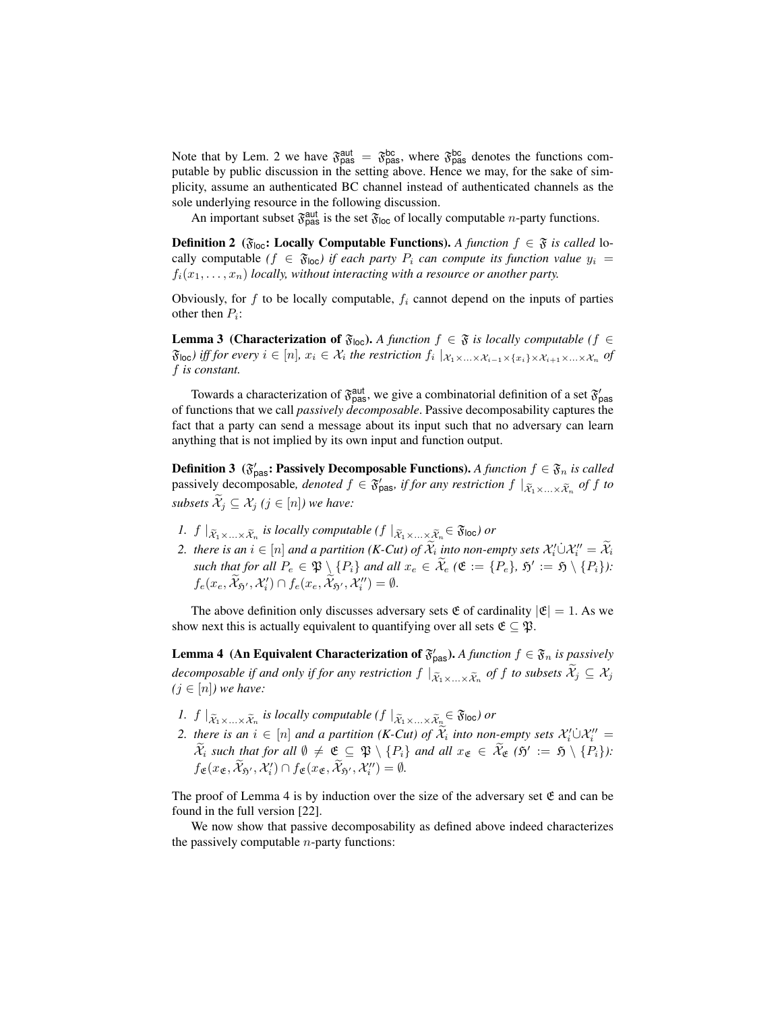Note that by Lem. 2 we have  $\mathfrak{F}_{\text{pas}}^{\text{aut}} = \mathfrak{F}_{\text{pas}}^{\text{bc}}$ , where  $\mathfrak{F}_{\text{pas}}^{\text{bc}}$  denotes the functions computable by public discussion in the setting above. Hence we may, for the sake of simplicity, assume an authenticated BC channel instead of authenticated channels as the sole underlying resource in the following discussion.

An important subset  $\mathfrak{F}_{\text{pas}}^{\text{aut}}$  is the set  $\mathfrak{F}_{\text{loc}}$  of locally computable *n*-party functions.

**Definition 2** ( $\mathfrak{F}_{\text{loc}}$ : **Locally Computable Functions).** A function  $f \in \mathfrak{F}$  is called locally computable  $(f \in \mathfrak{F}_{\text{loc}})$  if each party  $P_i$  can compute its function value  $y_i =$  $f_i(x_1, \ldots, x_n)$  *locally, without interacting with a resource or another party.* 

Obviously, for  $f$  to be locally computable,  $f_i$  cannot depend on the inputs of parties other then  $P_i$ :

**Lemma 3 (Characterization of**  $\mathfrak{F}_{loc}$ **).** A function  $f \in \mathfrak{F}$  is locally computable ( $f \in$  $\mathfrak{F}_{\mathsf{loc}}$ ) iff for every  $i \in [n]$ ,  $x_i \in \mathcal{X}_i$  the restriction  $f_i \mid_{\mathcal{X}_1 \times ... \times \mathcal{X}_{i-1} \times \{x_i\} \times \mathcal{X}_{i+1} \times ... \times \mathcal{X}_n}$  of f *is constant.*

Towards a characterization of  $\mathfrak{F}_{\text{pas}}^{\text{aut}}$ , we give a combinatorial definition of a set  $\mathfrak{F}_{\text{pas}}'$ of functions that we call *passively decomposable*. Passive decomposability captures the fact that a party can send a message about its input such that no adversary can learn anything that is not implied by its own input and function output.

**Definition 3** ( $\mathfrak{F}'_{\text{pas}}$ : Passively Decomposable Functions). *A function*  $f \in \mathfrak{F}_n$  *is called* passively decomposable, *denoted*  $f \in \mathfrak{F}'_{\text{pas}}$ , *if for any restriction*  $f \mid_{\mathfrak{X}_1 \times ... \times \mathfrak{X}_n}$  of  $f$  to *subsets*  $\mathcal{X}_j \subseteq \mathcal{X}_j$   $(j \in [n])$  we have:

- *1.*  $f \mid_{\widetilde{X}_1 \times ... \times \widetilde{X}_n}$  is locally computable  $(f \mid_{\widetilde{X}_1 \times ... \times \widetilde{X}_n} \in \mathfrak{F}_{\text{loc}})$  or
- *2. there is an*  $i \in [n]$  *and a partition (K-Cut) of*  $\widetilde{\mathcal{X}}_i$  *into non-empty sets*  $\mathcal{X}'_i \cup \mathcal{X}''_i = \widetilde{\mathcal{X}}_i$  $\mathcal{L}_e$  *such that for all*  $P_e \in \mathfrak{P} \setminus \{P_i\}$  *and all*  $x_e \in \widetilde{\mathcal{X}}_e$  ( $\mathfrak{E} := \{P_e\}$ ,  $\mathfrak{H}' := \mathfrak{H} \setminus \{P_i\}$ ):  $f_e(x_e, \widetilde{X}_{5'}, X'_i) \cap f_e(x_e, \widetilde{X}_{5'}, X''_i) = \emptyset.$

The above definition only discusses adversary sets  $\mathfrak E$  of cardinality  $|\mathfrak E|=1$ . As we show next this is actually equivalent to quantifying over all sets  $\mathfrak{E} \subseteq \mathfrak{P}$ .

**Lemma 4** (An Equivalent Characterization of  $\mathfrak{F}'_{\text{pas}}$ ). *A function*  $f \in \mathfrak{F}_n$  *is passively decomposable if and only if for any restriction*  $f |_{\tilde{X}_1 \times ... \times \tilde{X}_n}$  *of*  $f$  *to subsets*  $\mathcal{X}_j \subseteq \mathcal{X}_j$ <br>(i.e.  $[x]$ ) we have  $(j \in [n])$  we have:

- *1.*  $f \mid_{\widetilde{X}_1 \times ... \times \widetilde{X}_n}$  is locally computable  $(f \mid_{\widetilde{X}_1 \times ... \times \widetilde{X}_n} \in \widetilde{\mathfrak{F}}_{\text{loc}})$  or
- *2. there is an*  $i \in [n]$  *and a partition (K-Cut) of*  $\widetilde{\mathcal{X}}_i$  *into non-empty sets*  $\mathcal{X}'_i \cup \mathcal{X}''_i =$  $\widetilde{\mathcal{X}}_i$  such that for all  $\emptyset \neq \mathfrak{E} \subseteq \mathfrak{P} \setminus \{P_i\}$  and all  $x_{\mathfrak{E}} \in \widetilde{\mathcal{X}}_{\mathfrak{E}} (\mathfrak{H}' := \mathfrak{H} \setminus \{P_i\})$ :  $f_{\mathfrak{E}}(x_{\mathfrak{E}}, \widetilde{\mathcal{X}}_{\mathfrak{H}'}, \mathcal{X}'_i) \cap f_{\mathfrak{E}}(x_{\mathfrak{E}}, \widetilde{\mathcal{X}}_{\mathfrak{H}'}, \mathcal{X}''_i) = \emptyset.$

The proof of Lemma 4 is by induction over the size of the adversary set  $\mathfrak E$  and can be found in the full version [22].

We now show that passive decomposability as defined above indeed characterizes the passively computable  $n$ -party functions: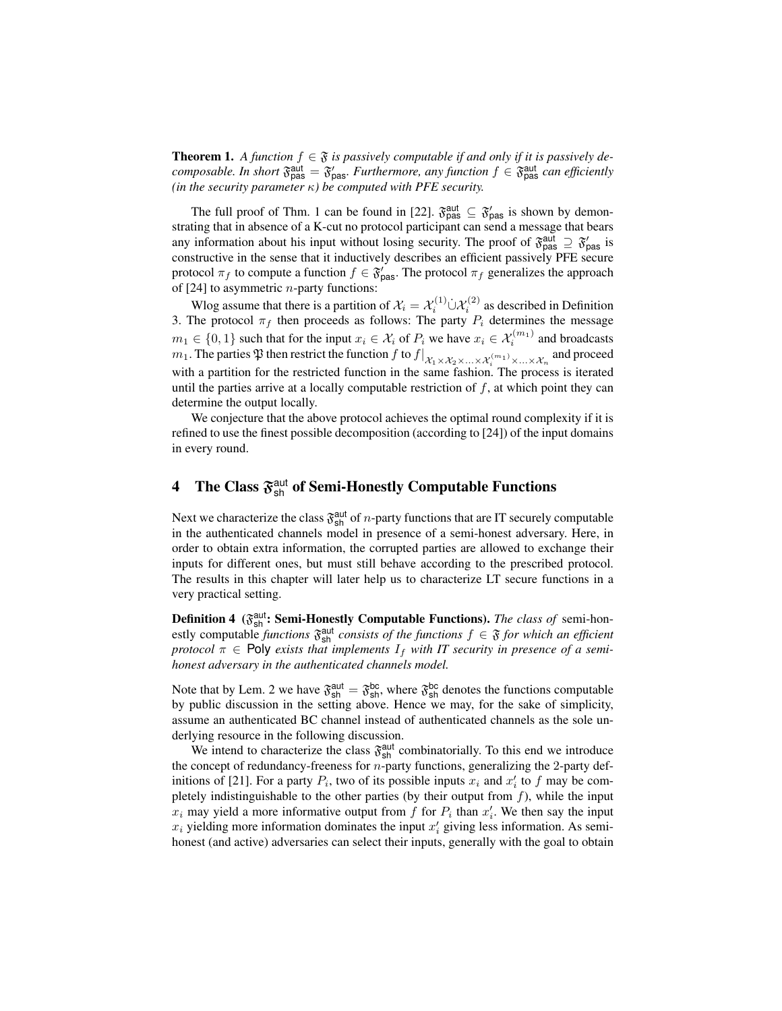**Theorem 1.** A function  $f \in \mathfrak{F}$  is passively computable if and only if it is passively de*composable. In short*  $\mathfrak{F}^{\text{aut}}_{\text{pas}} = \mathfrak{F}'_{\text{pas}}$ *. Furthermore, any function*  $f \in \mathfrak{F}^{\text{aut}}_{\text{pas}}$  *can efficiently (in the security parameter* κ*) be computed with PFE security.*

The full proof of Thm. 1 can be found in [22].  $\mathfrak{F}_{\text{pas}}^{\text{aut}} \subseteq \mathfrak{F}_{\text{pas}}'$  is shown by demonstrating that in absence of a K-cut no protocol participant can send a message that bears any information about his input without losing security. The proof of  $\mathfrak{F}_{\text{pas}}^{\text{aut}} \supseteq \mathfrak{F}_{\text{pas}}'$  is constructive in the sense that it inductively describes an efficient passively PFE secure protocol  $\pi_f$  to compute a function  $f \in \mathfrak{F}'_{\text{pas}}$ . The protocol  $\pi_f$  generalizes the approach of  $[24]$  to asymmetric *n*-party functions:

Wlog assume that there is a partition of  $\mathcal{X}_i = \mathcal{X}_i^{(1)} \dot{\cup} \mathcal{X}_i^{(2)}$  as described in Definition 3. The protocol  $\pi_f$  then proceeds as follows: The party  $P_i$  determines the message  $m_1 \in \{0, 1\}$  such that for the input  $x_i \in \mathcal{X}_i$  of  $P_i$  we have  $x_i \in \mathcal{X}_i^{(m_1)}$  and broadcasts  $m_1.$  The parties  $\frak P$  then restrict the function  $f$  to  $f|_{\mathcal X_1\times\mathcal X_2\times...\times\mathcal X_i}$   $^{(m_1)}_{\times...\times\mathcal X_n}$  and proceed with a partition for the restricted function in the same fashion. The process is iterated until the parties arrive at a locally computable restriction of  $f$ , at which point they can determine the output locally.

We conjecture that the above protocol achieves the optimal round complexity if it is refined to use the finest possible decomposition (according to [24]) of the input domains in every round.

# **4** The Class  $\mathfrak{F}^{\text{aut}}_{\text{sh}}$  of Semi-Honestly Computable Functions

Next we characterize the class  $\mathfrak{F}^{\text{aut}}_{\text{sh}}$  of *n*-party functions that are IT securely computable in the authenticated channels model in presence of a semi-honest adversary. Here, in order to obtain extra information, the corrupted parties are allowed to exchange their inputs for different ones, but must still behave according to the prescribed protocol. The results in this chapter will later help us to characterize LT secure functions in a very practical setting.

Definition 4 ( $\mathfrak{F}^{\text{aut}}_{\text{sh}}$ : Semi-Honestly Computable Functions). *The class of* semi-honestly computable *functions*  $\mathfrak{F}_{\text{sh}}^{\text{aut}}$  *consists of the functions*  $f \in \mathfrak{F}$  *for which an efficient protocol*  $\pi \in$  Poly *exists that implements*  $I_f$  *with IT security in presence of a semihonest adversary in the authenticated channels model.*

Note that by Lem. 2 we have  $\mathfrak{F}^{\text{aut}}_{\text{sh}} = \mathfrak{F}^{\text{bc}}_{\text{sh}}$ , where  $\mathfrak{F}^{\text{bc}}_{\text{sh}}$  denotes the functions computable by public discussion in the setting above. Hence we may, for the sake of simplicity, assume an authenticated BC channel instead of authenticated channels as the sole underlying resource in the following discussion.

We intend to characterize the class  $\mathfrak{F}^{\text{aut}}_{\text{sh}}$  combinatorially. To this end we introduce the concept of redundancy-freeness for  $n$ -party functions, generalizing the 2-party definitions of [21]. For a party  $P_i$ , two of its possible inputs  $x_i$  and  $x'_i$  to f may be completely indistinguishable to the other parties (by their output from  $f$ ), while the input  $x_i$  may yield a more informative output from f for  $P_i$  than  $x'_i$ . We then say the input  $x_i$  yielding more information dominates the input  $x_i'$  giving less information. As semihonest (and active) adversaries can select their inputs, generally with the goal to obtain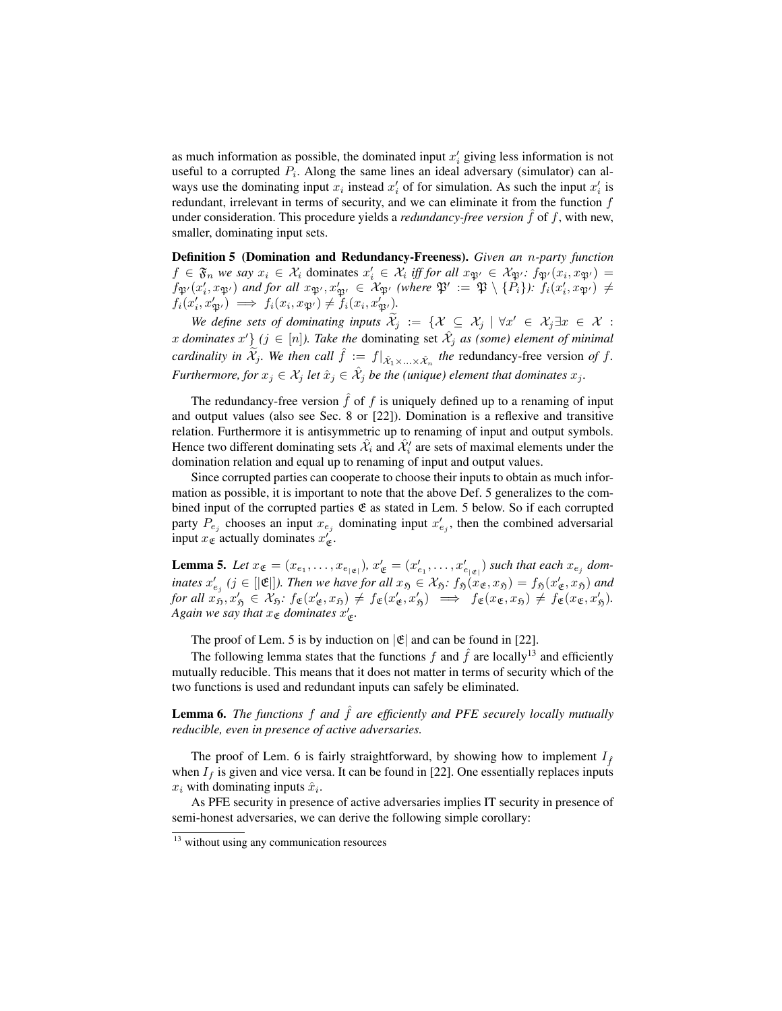as much information as possible, the dominated input  $x_i$  giving less information is not useful to a corrupted  $P_i$ . Along the same lines an ideal adversary (simulator) can always use the dominating input  $x_i$  instead  $x'_i$  of for simulation. As such the input  $x'_i$  is redundant, irrelevant in terms of security, and we can eliminate it from the function  $f$ under consideration. This procedure yields a *redundancy-free version*  $\hat{f}$  of  $f$ , with new, smaller, dominating input sets.

Definition 5 (Domination and Redundancy-Freeness). *Given an* n*-party function*  $f \in \mathfrak{F}_n$  we say  $x_i \in \mathcal{X}_i$  dominates  $x'_i \in \mathcal{X}_i$  iff for all  $x_{\mathfrak{P}'} \in \mathcal{X}_{\mathfrak{P}'}$ :  $f_{\mathfrak{P}'}(x_i, x_{\mathfrak{P}'}) =$  $f_{\mathfrak{P}'}(x'_i, x_{\mathfrak{P}'})$  and for all  $x_{\mathfrak{P}'}, x'_{\mathfrak{P}'} \in \mathcal{X}_{\mathfrak{P}'}$  (where  $\mathfrak{P}' := \mathfrak{P} \setminus \{P_i\}$ ):  $f_i(x'_i, x_{\mathfrak{P}'}) \neq$  $f_i(x'_i, x'_{\mathfrak{P}'}) \implies f_i(x_i, x_{\mathfrak{P}'}) \neq f_i(x_i, x'_{\mathfrak{P}'}).$ 

We define sets of dominating inputs  $\widetilde{\mathcal{X}}_j := \{ \mathcal{X} \subseteq \mathcal{X}_j \mid \forall x' \in \mathcal{X}_j \exists x \in \mathcal{X} :$ x dominates x'  $\}$  ( $j \in [n]$ ). Take the dominating set  $\hat{\mathcal{X}}_j$  as (some) element of minimal *cardinality in*  $\widetilde{\mathcal{X}}_j$ *. We then call*  $\hat{f} := f|_{\hat{\mathcal{X}}_1 \times ... \times \hat{\mathcal{X}}_n}$  *the* redundancy-free version *of*  $f$ *. Furthermore, for*  $x_j \in \mathcal{X}_j$  *let*  $\hat{x}_j \in \hat{\mathcal{X}}_j$  *be the (unique) element that dominates*  $x_j$ *.* 

The redundancy-free version  $\hat{f}$  of f is uniquely defined up to a renaming of input and output values (also see Sec. 8 or [22]). Domination is a reflexive and transitive relation. Furthermore it is antisymmetric up to renaming of input and output symbols. Hence two different dominating sets  $\hat{\mathcal{X}}_i$  and  $\hat{\mathcal{X}}'_i$  are sets of maximal elements under the domination relation and equal up to renaming of input and output values.

Since corrupted parties can cooperate to choose their inputs to obtain as much information as possible, it is important to note that the above Def. 5 generalizes to the combined input of the corrupted parties  $\mathfrak E$  as stated in Lem. 5 below. So if each corrupted party  $P_{e_j}$  chooses an input  $x_{e_j}$  dominating input  $x'_{e_j}$ , then the combined adversarial input  $x_{\mathfrak{E}}$  actually dominates  $x'_{\mathfrak{E}}$ .

**Lemma 5.** Let  $x_{\mathfrak{E}} = (x_{e_1}, \ldots, x_{e_{|\mathfrak{E}|}})$ ,  $x'_{\mathfrak{E}} = (x'_{e_1}, \ldots, x'_{e_{|\mathfrak{E}|}})$  such that each  $x_{e_j}$  dominates  $x'_{e_j}$  ( $j \in [|\mathfrak{E}|]$ ). Then we have for all  $x_{\mathfrak{H}} \in \mathcal{X}_{\mathfrak{H}}$ :  $f_{\mathfrak{H}}(x_{\mathfrak{E}}, x_{\mathfrak{H}}) = f_{\mathfrak{H}}(x'_{\mathfrak{E}}, x_{\mathfrak{H}})$  and  $for \ all \ x_{5}^{\prime}, x_{5}^{\prime} \in \mathcal{X}_{5}: f_{\mathfrak{E}}(x_{\mathfrak{E}}^{\prime}, x_{5}) \neq f_{\mathfrak{E}}(x_{\mathfrak{E}}^{\prime}, x_{5}^{\prime}) \implies f_{\mathfrak{E}}(x_{\mathfrak{E}}, x_{5}) \neq f_{\mathfrak{E}}(x_{\mathfrak{E}}, x_{5}^{\prime}).$ *Again we say that*  $x_{\mathfrak{E}}$  *dominates*  $x'_{\mathfrak{E}}$ *.* 

The proof of Lem. 5 is by induction on  $|\mathfrak{E}|$  and can be found in [22].

The following lemma states that the functions f and  $\hat{f}$  are locally<sup>13</sup> and efficiently mutually reducible. This means that it does not matter in terms of security which of the two functions is used and redundant inputs can safely be eliminated.

**Lemma 6.** *The functions*  $f$  *and*  $\hat{f}$  *are efficiently and PFE securely locally mutually reducible, even in presence of active adversaries.*

The proof of Lem. 6 is fairly straightforward, by showing how to implement  $I_{\hat{f}}$ when  $I_f$  is given and vice versa. It can be found in [22]. One essentially replaces inputs  $x_i$  with dominating inputs  $\hat{x}_i$ .

As PFE security in presence of active adversaries implies IT security in presence of semi-honest adversaries, we can derive the following simple corollary:

<sup>&</sup>lt;sup>13</sup> without using any communication resources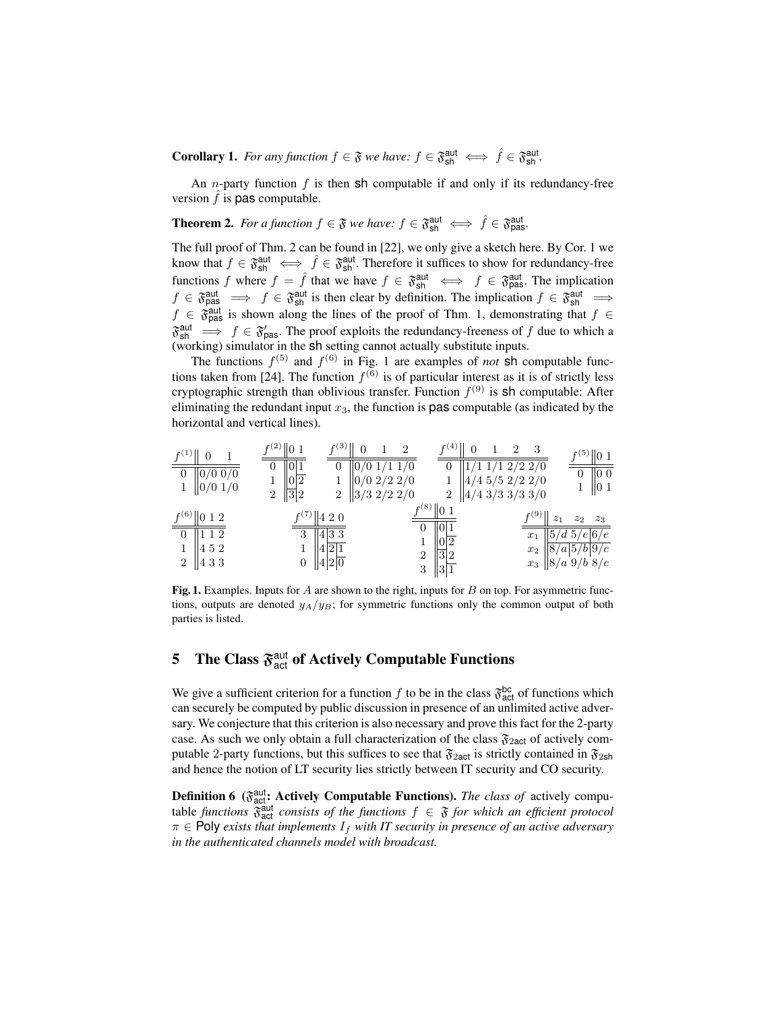**Corollary 1.** For any function  $f \in \mathfrak{F}$  we have:  $f \in \mathfrak{F}_{\text{sh}}^{\text{aut}} \iff \hat{f} \in \mathfrak{F}_{\text{sh}}^{\text{aut}}$ .

An *n*-party function  $f$  is then sh computable if and only if its redundancy-free version  $\hat{f}$  is **pas** computable.

**Theorem 2.** For a function  $f \in \mathfrak{F}$  we have:  $f \in \mathfrak{F}_{\text{sh}}^{\text{aut}} \iff \hat{f} \in \mathfrak{F}_{\text{pas}}^{\text{aut}}$ .

The full proof of Thm. 2 can be found in [22], we only give a sketch here. By Cor. 1 we know that  $f \in \mathfrak{F}_{\text{sh}}^{\text{aut}} \iff \hat{f} \in \mathfrak{F}_{\text{sh}}^{\text{aut}}$ . Therefore it suffices to show for redundancy-free functions f where  $f = \hat{f}$  that we have  $f \in \mathfrak{F}_{\text{sh}}^{\text{aut}} \iff f \in \mathfrak{F}_{\text{pas}}^{\text{aut}}$ . The implication  $f \in \mathfrak{F}_{\text{pas}}^{\text{aut}} \implies f \in \mathfrak{F}_{\text{sh}}^{\text{aut}}$  is then clear by definition. The implication  $f \in \mathfrak{F}_{\text{sh}}^{\text{aut}} \implies$  $f \in \mathfrak{F}_{\text{pas}}^{\text{aut}}$  is shown along the lines of the proof of Thm. 1, demonstrating that  $f \in$  $\mathfrak{F}^{\text{aut}}_{\text{sh}} \implies f \in \mathfrak{F}'_{\text{pas}}$ . The proof exploits the redundancy-freeness of f due to which a (working) simulator in the sh setting cannot actually substitute inputs.

The functions  $f^{(5)}$  and  $f^{(6)}$  in Fig. 1 are examples of *not* sh computable functions taken from [24]. The function  $f^{(6)}$  is of particular interest as it is of strictly less cryptographic strength than oblivious transfer. Function  $f^{(9)}$  is sh computable: After eliminating the redundant input  $x_3$ , the function is **pas** computable (as indicated by the horizontal and vertical lines).

| $f^{(1)}$<br>$\overline{0}$<br>$\sqrt{0/0}$ 0/0<br>$\ 0/0\ 1/0$                          | $f^{(2)}  0 1$<br>  0 1<br>0<br> 0 2<br>$\sqrt{3}2$<br>$\overline{2}$               | f(3)<br>$\theta$<br>$\overline{2}$<br>$0/0$ 1/1 1/0<br>$\boldsymbol{0}$<br>$0/0$ 2/2 2/0<br>$\ 3/3\;2/2\;2/0$<br>$\overline{2}$ | $f(4)$  <br>$\overline{2}$                                                                                                          | 3<br>$1/1\ 2\overline{2\ 2/0}$<br>$4/4$ 5/5 2/2 2/0<br>$\ 4/4\frac{3}{3\frac{3}{3\frac{3}{0}}$ | $f^{(5)}$   0 1<br>$\sqrt{100}$<br>$\parallel$ 0 1                                                            |
|------------------------------------------------------------------------------------------|-------------------------------------------------------------------------------------|---------------------------------------------------------------------------------------------------------------------------------|-------------------------------------------------------------------------------------------------------------------------------------|------------------------------------------------------------------------------------------------|---------------------------------------------------------------------------------------------------------------|
| $f^{(6)}$   0 1 2<br>$\boxed{0}$   1 1 2<br>  452<br>$\overline{2}$<br>$\parallel$ 4 3 3 | $f^{(7)}$   4 2 0<br>  433<br>3<br> 4 2 1<br>$  4 2 \overline{0}$<br>$\overline{0}$ |                                                                                                                                 | $f^{(8)}$ $\parallel$ 0 1<br>$\overline{0}$<br>$\ 0\ 1$<br>$\sqrt{ 0 2}$<br>$\sqrt{3}2$<br>$\overline{2}$<br>$\sqrt{3}$<br>$\ 3\ 1$ | f(9)<br>$z_1$<br>$x_1$<br>$x_2$                                                                | $z_3$<br>$z_2$<br>$\sqrt{5d\ 5/e 6/e }$<br>$\sqrt{\frac{8}{a}5/b}\sqrt{\frac{9}{c}}$<br>$x_3$   $8/a$ 9/b 8/c |

Fig. 1. Examples. Inputs for A are shown to the right, inputs for B on top. For asymmetric functions, outputs are denoted  $y_A/y_B$ ; for symmetric functions only the common output of both parties is listed.

# 5 The Class  $\mathfrak{F}^{\text{aut}}_{\text{act}}$  of Actively Computable Functions

We give a sufficient criterion for a function f to be in the class  $\mathfrak{F}^{\text{bc}}_{\text{act}}$  of functions which can securely be computed by public discussion in presence of an unlimited active adversary. We conjecture that this criterion is also necessary and prove this fact for the 2-party case. As such we only obtain a full characterization of the class  $\mathfrak{F}_{2act}$  of actively computable 2-party functions, but this suffices to see that  $\mathfrak{F}_{2act}$  is strictly contained in  $\mathfrak{F}_{2sh}$ and hence the notion of LT security lies strictly between IT security and CO security.

**Definition 6** ( $\mathfrak{F}_{\text{act}}^{\text{aut}}$ : Actively Computable Functions). *The class of* actively computable *functions*  $\hat{\delta}_{\text{act}}^{\text{aut}}$  *consists of the functions*  $f \in \mathfrak{F}$  *for which an efficient protocol*  $\pi \in$  Poly *exists that implements*  $I_f$  *with IT security in presence of an active adversary in the authenticated channels model with broadcast.*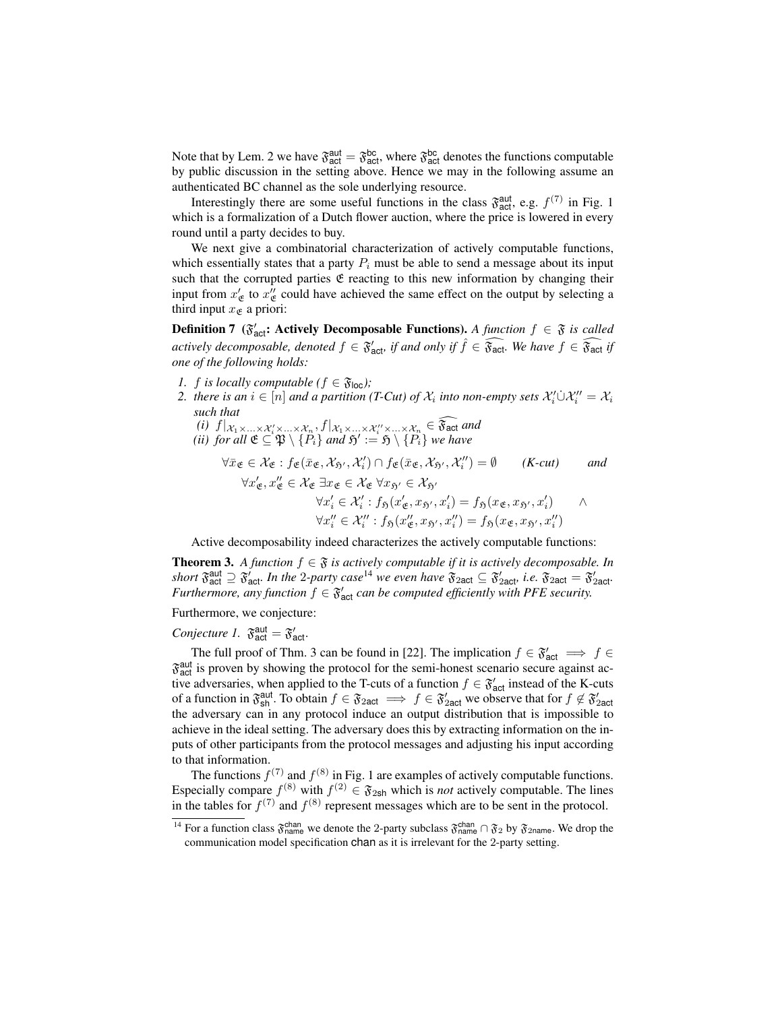Note that by Lem. 2 we have  $\mathfrak{F}^{\text{aut}}_{\text{act}} = \mathfrak{F}^{\text{bc}}_{\text{act}}$ , where  $\mathfrak{F}^{\text{bc}}_{\text{act}}$  denotes the functions computable by public discussion in the setting above. Hence we may in the following assume an authenticated BC channel as the sole underlying resource.

Interestingly there are some useful functions in the class  $\mathfrak{F}^{\text{aut}}_{\text{act}}$ , e.g.  $f^{(7)}$  in Fig. 1 which is a formalization of a Dutch flower auction, where the price is lowered in every round until a party decides to buy.

We next give a combinatorial characterization of actively computable functions, which essentially states that a party  $P_i$  must be able to send a message about its input such that the corrupted parties  $E$  reacting to this new information by changing their input from  $x'_g$  to  $x''_g$  could have achieved the same effect on the output by selecting a third input  $x_{\mathfrak{E}}$  a priori:

**Definition 7** ( $\mathfrak{F}'_{\text{act}}$ : Actively Decomposable Functions). *A function*  $f \in \mathfrak{F}$  *is called actively decomposable, denoted*  $f \in \mathfrak{F}_{\mathsf{act}}'$  *if and only if*  $\hat{f} \in \widehat{\mathfrak{F}_{\mathsf{act}}}$ . We have  $f \in \widehat{\mathfrak{F}_{\mathsf{act}}}$  *if one of the following holds:*

- *1. f is locally computable (* $f \in \mathfrak{F}_{loc}$ *);*
- 2. there is an  $i \in [n]$  and a partition (T-Cut) of  $\mathcal{X}_i$  into non-empty sets  $\mathcal{X}'_i \cup \mathcal{X}''_i = \mathcal{X}_i$ *such that*
	- *(i)*  $f|x_1 \times ... \times x_i \times ... \times x_n$ ,  $f|x_1 \times ... \times x_i \times ... \times x_n \in \mathfrak{F}_{\text{act}}$  *and (ii) for all*  $\mathfrak{E} \subseteq \mathfrak{P} \setminus \{P_i\}$  *and*  $\mathfrak{H}' := \mathfrak{H} \setminus \{P_i\}$  *we have*

$$
\forall \bar{x}_{\mathfrak{E}} \in \mathcal{X}_{\mathfrak{E}} : f_{\mathfrak{E}}(\bar{x}_{\mathfrak{E}}, \mathcal{X}_{5'}, \mathcal{X}'_{i}) \cap f_{\mathfrak{E}}(\bar{x}_{\mathfrak{E}}, \mathcal{X}_{5'}, \mathcal{X}''_{i}) = \emptyset \qquad (K-cut) \qquad and
$$
  

$$
\forall x'_{\mathfrak{E}}, x''_{\mathfrak{E}} \in \mathcal{X}_{\mathfrak{E}} \exists x_{\mathfrak{E}} \in \mathcal{X}_{\mathfrak{E}} \forall x_{5'} \in \mathcal{X}_{5'}
$$
  

$$
\forall x'_{i} \in \mathcal{X}'_{i} : f_{5}(x'_{\mathfrak{E}}, x_{5'}, x'_{i}) = f_{5}(x_{\mathfrak{E}}, x_{5'}, x'_{i}) \qquad \land
$$
  

$$
\forall x''_{i} \in \mathcal{X}''_{i} : f_{5}(x''_{\mathfrak{E}}, x_{5'}, x''_{i}) = f_{5}(x_{\mathfrak{E}}, x_{5'}, x''_{i})
$$

Active decomposability indeed characterizes the actively computable functions:

**Theorem 3.** *A function*  $f \in \mathfrak{F}$  *is actively computable if it is actively decomposable. In* short  $\mathfrak{F}^{\text{aut}}_{\text{act}} \supseteq \mathfrak{F}'_{\text{act}}$ . In the 2*-party case*<sup>14</sup> we even have  $\mathfrak{F}_{\text{2act}} \subseteq \mathfrak{F}'_{\text{2act}}$ , i.e.  $\mathfrak{F}_{\text{2act}} = \mathfrak{F}'_{\text{2act}}$ . *Furthermore, any function*  $f \in \mathfrak{F}_{\text{act}}'$  *can be computed efficiently with PFE security.* 

## Furthermore, we conjecture:

## *Conjecture 1.*  $\mathfrak{F}_{\text{act}}^{\text{aut}} = \mathfrak{F}_{\text{act}}^{\prime}$ .

The full proof of Thm. 3 can be found in [22]. The implication  $f \in \mathfrak{F}'_{\text{act}} \implies f \in$  $\mathfrak{F}^{\text{aut}}_{\text{act}}$  is proven by showing the protocol for the semi-honest scenario secure against active adversaries, when applied to the T-cuts of a function  $f \in \mathfrak{F}'_{act}$  instead of the K-cuts of a function in  $\mathfrak{F}_{\text{sh}}^{\text{aut}}$ . To obtain  $f \in \mathfrak{F}_{\text{2act}} \implies f \in \mathfrak{F}_{\text{2act}}'$  we observe that for  $f \notin \mathfrak{F}_{\text{2act}}'$ <br>the adversary can in any protocol induce an output distribution that is impossible to achieve in the ideal setting. The adversary does this by extracting information on the inputs of other participants from the protocol messages and adjusting his input according to that information.

The functions  $f^{(7)}$  and  $f^{(8)}$  in Fig. 1 are examples of actively computable functions. Especially compare  $f^{(8)}$  with  $f^{(2)} \in \mathfrak{F}_{2sh}$  which is *not* actively computable. The lines in the tables for  $f^{(7)}$  and  $f^{(8)}$  represent messages which are to be sent in the protocol.

<sup>&</sup>lt;sup>14</sup> For a function class  $\mathfrak{F}_{name}^{chan}$  we denote the 2-party subclass  $\mathfrak{F}_{name}^{chan} \cap \mathfrak{F}_{2}$  by  $\mathfrak{F}_{2name}$ . We drop the communication model specification chan as it is irrelevant for the 2-party setting.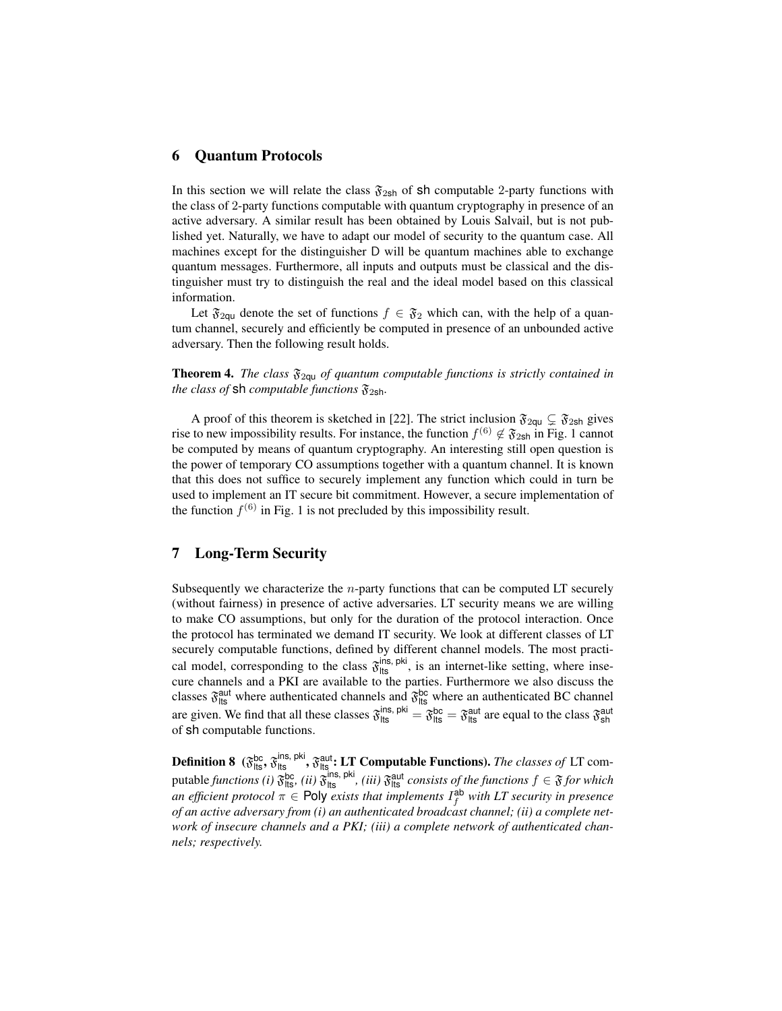### 6 Quantum Protocols

In this section we will relate the class  $\mathfrak{F}_{2sh}$  of sh computable 2-party functions with the class of 2-party functions computable with quantum cryptography in presence of an active adversary. A similar result has been obtained by Louis Salvail, but is not published yet. Naturally, we have to adapt our model of security to the quantum case. All machines except for the distinguisher D will be quantum machines able to exchange quantum messages. Furthermore, all inputs and outputs must be classical and the distinguisher must try to distinguish the real and the ideal model based on this classical information.

Let  $\mathfrak{F}_{2\text{qu}}$  denote the set of functions  $f \in \mathfrak{F}_2$  which can, with the help of a quantum channel, securely and efficiently be computed in presence of an unbounded active adversary. Then the following result holds.

**Theorem 4.** *The class*  $\mathfrak{F}_{2qu}$  *of quantum computable functions is strictly contained in the class of* **sh** *computable functions*  $\mathfrak{F}_{2\mathsf{sh}}$ *.* 

A proof of this theorem is sketched in [22]. The strict inclusion  $\mathfrak{F}_{2qu} \subsetneq \mathfrak{F}_{2sh}$  gives rise to new impossibility results. For instance, the function  $f^{(6)} \notin \mathfrak{F}_{2\mathsf{sh}}$  in Fig. 1 cannot be computed by means of quantum cryptography. An interesting still open question is the power of temporary CO assumptions together with a quantum channel. It is known that this does not suffice to securely implement any function which could in turn be used to implement an IT secure bit commitment. However, a secure implementation of the function  $f^{(6)}$  in Fig. 1 is not precluded by this impossibility result.

## 7 Long-Term Security

Subsequently we characterize the  $n$ -party functions that can be computed LT securely (without fairness) in presence of active adversaries. LT security means we are willing to make CO assumptions, but only for the duration of the protocol interaction. Once the protocol has terminated we demand IT security. We look at different classes of LT securely computable functions, defined by different channel models. The most practical model, corresponding to the class  $\mathfrak{F}_{\text{lts}}^{\text{ins, pki}}$ , is an internet-like setting, where insecure channels and a PKI are available to the parties. Furthermore we also discuss the classes  $\mathfrak{F}_{\text{lts}}^{\text{aut}}$  where authenticated channels and  $\mathfrak{F}_{\text{lts}}^{\text{bc}}$  where an authenticated BC channel are given. We find that all these classes  $\mathfrak{F}_{\text{lts}}^{\text{ins, pik}} = \mathfrak{F}_{\text{lts}}^{\text{bc}} = \mathfrak{F}_{\text{lts}}^{\text{aut}}$  are equal to the class  $\mathfrak{F}_{\text{sh}}^{\text{aut}}$ of sh computable functions.

**Definition 8** ( $\mathfrak{F}^{\text{bc}}_{\text{lts}}, \mathfrak{F}^{\text{ins, phi}}_{\text{lts}}$ ,  $\mathfrak{F}^{\text{aut}}_{\text{lts}}$ : LT Computable Functions). *The classes of* LT computable *functions (i)*  $\mathfrak{F}^{\text{bc}}_{\text{lts}}$ , *(ii)*  $\mathfrak{F}^{\text{his, piki}}_{\text{lts}}$ , *(iii)*  $\mathfrak{F}^{\text{aut}}_{\text{lts}}$  *consists of the functions*  $f \in \mathfrak{F}$  *for which* an efficient protocol  $\pi \in$  Poly exists that implements  $I_f^{\text{ab}}$  with LT security in presence *of an active adversary from (i) an authenticated broadcast channel; (ii) a complete network of insecure channels and a PKI; (iii) a complete network of authenticated channels; respectively.*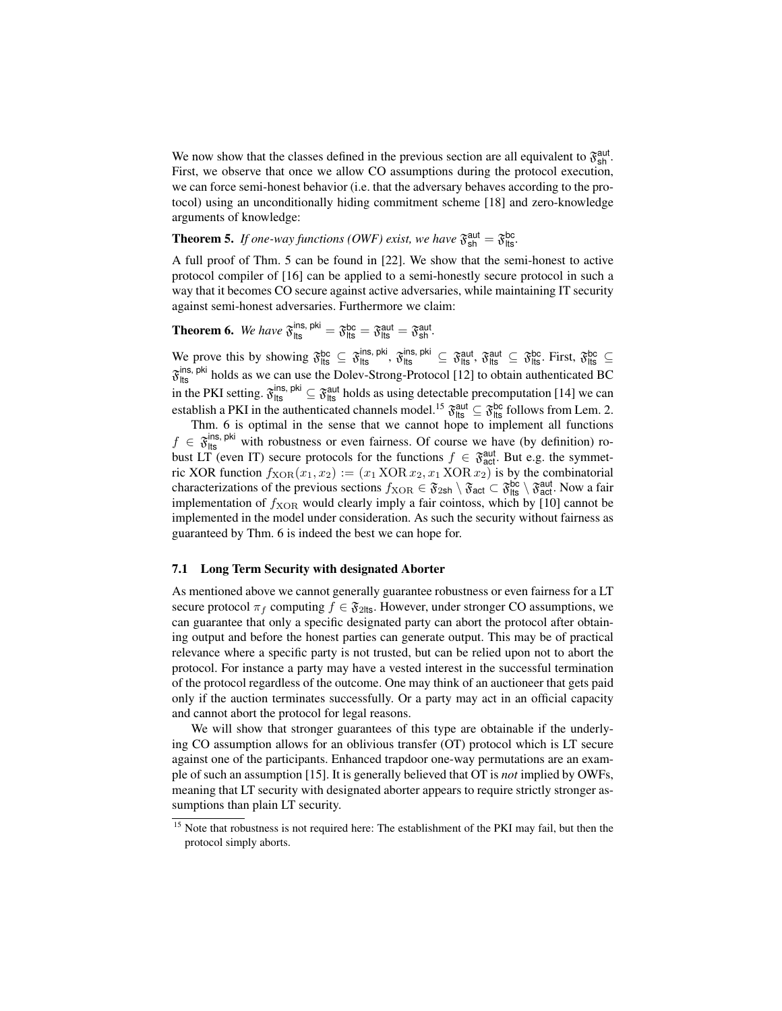We now show that the classes defined in the previous section are all equivalent to  $\mathfrak{F}_{\text{sh}}^{\text{aut}}$ . First, we observe that once we allow CO assumptions during the protocol execution, we can force semi-honest behavior (i.e. that the adversary behaves according to the protocol) using an unconditionally hiding commitment scheme [18] and zero-knowledge arguments of knowledge:

# **Theorem 5.** If one-way functions (OWF) exist, we have  $\mathfrak{F}_{\text{sh}}^{\text{aut}} = \mathfrak{F}_{\text{lts}}^{\text{bc}}$ .

A full proof of Thm. 5 can be found in [22]. We show that the semi-honest to active protocol compiler of [16] can be applied to a semi-honestly secure protocol in such a way that it becomes CO secure against active adversaries, while maintaining IT security against semi-honest adversaries. Furthermore we claim:

**Theorem 6.** We have  $\mathfrak{F}_{\text{lts}}^{\text{ins, pik}} = \mathfrak{F}_{\text{lts}}^{\text{bc}} = \mathfrak{F}_{\text{lts}}^{\text{aut}} = \mathfrak{F}_{\text{sh}}^{\text{aut}}$ .

We prove this by showing  $\mathfrak{F}_{\text{lts}}^{\text{bc}} \subseteq \mathfrak{F}_{\text{lts}}^{\text{ins, piki}}$ ,  $\mathfrak{F}_{\text{lts}}^{\text{ins, phi}} \subseteq \mathfrak{F}_{\text{lts}}^{\text{aut}}$ ,  $\mathfrak{F}_{\text{lts}}^{\text{hot}} \subseteq \mathfrak{F}_{\text{lts}}^{\text{bc}}$ . First,  $\mathfrak{F}_{\text{lts}}^{\text{bc}} \subseteq$  $\mathfrak{F}_{\text{lts}}^{\text{ins, pki}}$  holds as we can use the Dolev-Strong-Protocol [12] to obtain authenticated BC in the PKI setting.  $\mathfrak{F}_{\text{lts}}^{\text{ins, piki}} \subseteq \mathfrak{F}_{\text{lts}}^{\text{aut}}$  holds as using detectable precomputation [14] we can establish a PKI in the authenticated channels model.<sup>15</sup>  $\mathfrak{F}_{\text{lts}}^{\text{aut}} \subseteq \mathfrak{F}_{\text{lts}}^{\text{bc}}$  follows from Lem. 2.

Thm. 6 is optimal in the sense that we cannot hope to implement all functions  $f \in \mathfrak{F}_{\text{lts}}^{\text{ins, pik}}$  with robustness or even fairness. Of course we have (by definition) robust LT (even IT) secure protocols for the functions  $f \in \mathfrak{F}_{act}^{\text{aut}}$ . But e.g. the symmetric XOR function  $f_{XOR}(x_1, x_2) := (x_1 \text{ XOR } x_2, x_1 \text{ XOR } x_2)$  is by the combinatorial characterizations of the previous sections  $f_{XOR} \in \mathfrak{F}_{2sh} \setminus \mathfrak{F}_{act}^{\text{ac}} \subset \mathfrak{F}_{\text{lt}}^{\text{bcl}} \setminus \mathfrak{F}_{act}^{\text{aut}}$ . Now a fair implementation of  $f_{XOR}$  would clearly imply a fair cointoss, which by [10] cannot be implemented in the model under consideration. As such the security without fairness as guaranteed by Thm. 6 is indeed the best we can hope for.

#### 7.1 Long Term Security with designated Aborter

As mentioned above we cannot generally guarantee robustness or even fairness for a LT secure protocol  $\pi_f$  computing  $f \in \mathfrak{F}_{2}$ lts. However, under stronger CO assumptions, we can guarantee that only a specific designated party can abort the protocol after obtaining output and before the honest parties can generate output. This may be of practical relevance where a specific party is not trusted, but can be relied upon not to abort the protocol. For instance a party may have a vested interest in the successful termination of the protocol regardless of the outcome. One may think of an auctioneer that gets paid only if the auction terminates successfully. Or a party may act in an official capacity and cannot abort the protocol for legal reasons.

We will show that stronger guarantees of this type are obtainable if the underlying CO assumption allows for an oblivious transfer (OT) protocol which is LT secure against one of the participants. Enhanced trapdoor one-way permutations are an example of such an assumption [15]. It is generally believed that OT is *not* implied by OWFs, meaning that LT security with designated aborter appears to require strictly stronger assumptions than plain LT security.

<sup>&</sup>lt;sup>15</sup> Note that robustness is not required here: The establishment of the PKI may fail, but then the protocol simply aborts.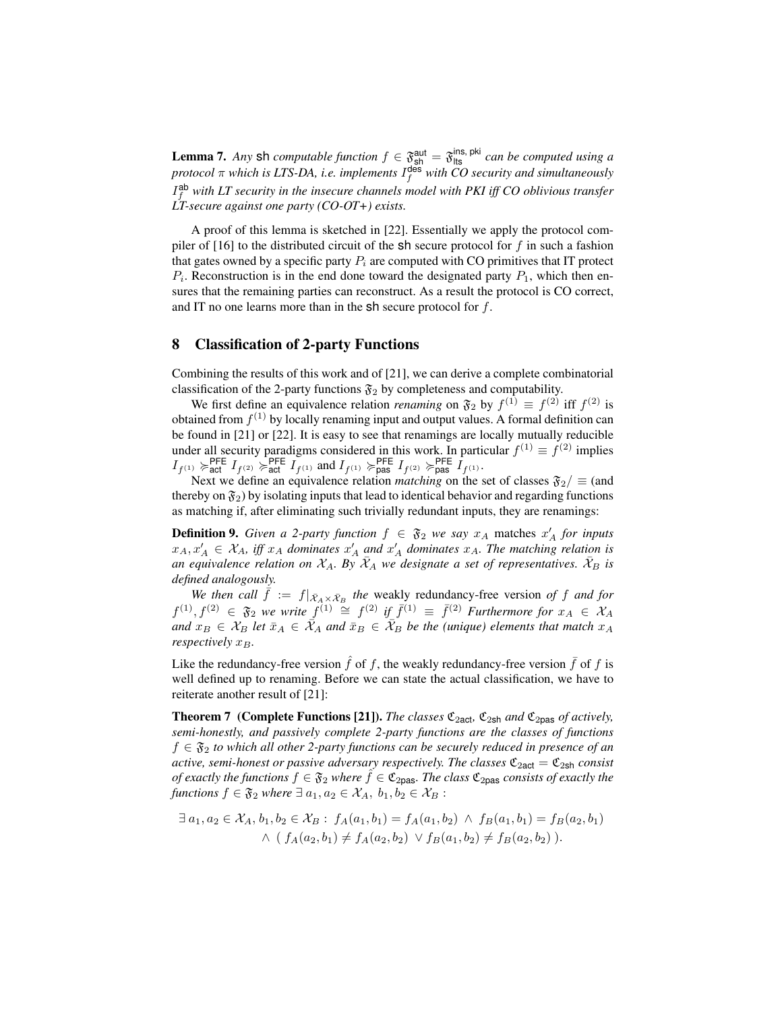**Lemma 7.** Any sh *computable function*  $f \in \mathfrak{F}_{\text{sh}}^{\text{aut}} = \mathfrak{F}_{\text{lts}}^{\text{ins, pk}}$  *can be computed using a*  $\emph{protocol}$   $\pi$  which is LTS-DA, i.e. implements  $I_f^{\text{des}}$  with CO security and simultaneously I<sup>ab</sup> with LT security in the insecure channels model with PKI iff CO oblivious transfer *LT-secure against one party (CO-OT+) exists.*

A proof of this lemma is sketched in [22]. Essentially we apply the protocol compiler of [16] to the distributed circuit of the sh secure protocol for f in such a fashion that gates owned by a specific party  $P_i$  are computed with CO primitives that IT protect  $P_i$ . Reconstruction is in the end done toward the designated party  $P_1$ , which then ensures that the remaining parties can reconstruct. As a result the protocol is CO correct, and IT no one learns more than in the  $sh$  secure protocol for  $f$ .

## 8 Classification of 2-party Functions

Combining the results of this work and of [21], we can derive a complete combinatorial classification of the 2-party functions  $\mathfrak{F}_2$  by completeness and computability.

We first define an equivalence relation *renaming* on  $\mathfrak{F}_2$  by  $f^{(1)} \equiv f^{(2)}$  iff  $f^{(2)}$  is obtained from  $f^{(1)}$  by locally renaming input and output values. A formal definition can be found in [21] or [22]. It is easy to see that renamings are locally mutually reducible under all security paradigms considered in this work. In particular  $f^{(1)} \equiv f^{(2)}$  implies  $I_{f^{(1)}} \succcurlyeq_{\text{act}}^{\text{PFE}} I_{f^{(2)}} \succcurlyeq_{\text{act}}^{\text{PFE}} I_{f^{(1)}} \text{ and } I_{f^{(1)}} \succcurlyeq_{\text{pas}}^{\text{PFE}} I_{f^{(2)}} \succcurlyeq_{\text{pas}}^{\text{PFE}} I_{f^{(1)}}.$ 

Next we define an equivalence relation *matching* on the set of classes  $\mathfrak{F}_2/\equiv$  (and thereby on  $\mathfrak{F}_2$ ) by isolating inputs that lead to identical behavior and regarding functions as matching if, after eliminating such trivially redundant inputs, they are renamings:

**Definition 9.** Given a 2-party function  $f \in \mathfrak{F}_2$  we say  $x_A$  matches  $x'_A$  for inputs  $x_A, x'_A \in \mathcal{X}_A$ , iff  $x_A$  dominates  $x'_A$  and  $x'_A$  dominates  $x_A$ . The matching relation is *an equivalence relation on*  $\mathcal{X}_A$ . By  $\bar{\mathcal{X}}_A$  *we designate a set of representatives.*  $\bar{\mathcal{X}}_B$  *is defined analogously.*

We then call  $\dot{f} := f|_{\bar{X}_A \times \bar{X}_B}$  the weakly redundancy-free version of f and for  $f^{(1)}, f^{(2)}$  ∈  $\mathfrak{F}_2$  *we write*  $f^{(1)} \cong f^{(2)}$  *if*  $\bar{f}^{(1)} \equiv \bar{f}^{(2)}$  *Furthermore for*  $x_A \in \mathcal{X}_A$ *and*  $x_B \in \mathcal{X}_B$  *let*  $\bar{x}_A \in \tilde{\mathcal{X}}_A$  *and*  $\bar{x}_B \in \tilde{\mathcal{X}}_B$  *be the (unique) elements that match*  $x_A$ *respectively*  $x_B$ *.* 

Like the redundancy-free version  $\hat{f}$  of f, the weakly redundancy-free version  $\bar{f}$  of f is well defined up to renaming. Before we can state the actual classification, we have to reiterate another result of [21]:

**Theorem 7** (Complete Functions [21]). *The classes*  $\mathfrak{C}_{2 \text{act}}, \mathfrak{C}_{2 \text{sh}}$  *and*  $\mathfrak{C}_{2 \text{pas}}$  *of actively, semi-honestly, and passively complete 2-party functions are the classes of functions* f ∈ F<sup>2</sup> *to which all other 2-party functions can be securely reduced in presence of an active, semi-honest or passive adversary respectively. The classes*  $\mathfrak{C}_{2 \text{act}} = \mathfrak{C}_{2 \text{sh}}$  *consist of exactly the functions*  $f \in \mathfrak{F}_2$  *where*  $f \in \mathfrak{C}_{2p\text{as}}$ *. The class*  $\mathfrak{C}_{2p\text{as}}$  *consists of exactly the functions*  $f \in \mathfrak{F}_2$  *where*  $\exists a_1, a_2 \in \mathcal{X}_A$ ,  $b_1, b_2 \in \mathcal{X}_B$ :

$$
\exists a_1, a_2 \in \mathcal{X}_A, b_1, b_2 \in \mathcal{X}_B : f_A(a_1, b_1) = f_A(a_1, b_2) \land f_B(a_1, b_1) = f_B(a_2, b_1)
$$
  
 
$$
\land (f_A(a_2, b_1) \neq f_A(a_2, b_2) \lor f_B(a_1, b_2) \neq f_B(a_2, b_2)).
$$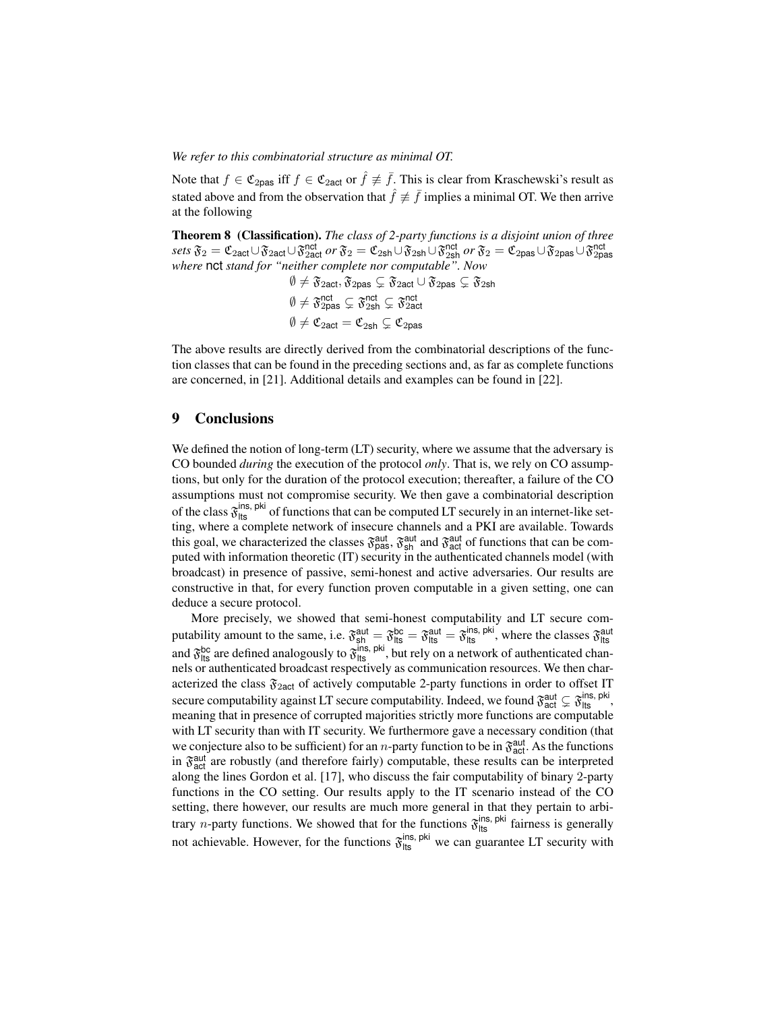*We refer to this combinatorial structure as minimal OT.*

Note that  $f \in \mathfrak{C}_{2\text{pas}}$  iff  $f \in \mathfrak{C}_{2\text{act}}$  or  $\hat{f} \not\equiv \overline{f}$ . This is clear from Kraschewski's result as stated above and from the observation that  $\hat{f} \neq \bar{f}$  implies a minimal OT. We then arrive at the following

Theorem 8 (Classification). *The class of 2-party functions is a disjoint union of three sets*  $\mathfrak{F}_2 = \mathfrak{C}_2$ <sub>act</sub>∪ $\mathfrak{F}_2$ act∪ $\mathfrak{F}_2$ <sup>nct</sup> *or*  $\mathfrak{F}_2 = \mathfrak{C}_2$ <sub>2</sub>b1∪ $\mathfrak{F}_2$ <sup>nct</sup> ar  $\mathfrak{F}_2 = \mathfrak{C}_2$ <sub>pas</sub>∪ $\mathfrak{F}_2$ <sub>2pas</sub>∪ $\mathfrak{F}_2$ <sub>2pas</sub><br>where **nct** *stand for "neither complete nor comput* 

> $\emptyset \neq \mathfrak{F}_{2\textsf{act}}, \mathfrak{F}_{2\textsf{pas}} \subsetneq \mathfrak{F}_{2\textsf{act}} \cup \mathfrak{F}_{2\textsf{pas}} \subsetneq \mathfrak{F}_{2\textsf{sh}}$  $\emptyset \neq \mathfrak{F}^{\mathsf{nct}}_{\mathsf{2pas}} \subsetneq \mathfrak{F}^{\mathsf{nct}}_{\mathsf{2sh}} \subsetneq \mathfrak{F}^{\mathsf{nct}}_{\mathsf{2act}}$  $\emptyset \neq \mathfrak{C}_{2\text{act}} = \mathfrak{C}_{2\text{sh}} \subsetneq \mathfrak{C}_{2\text{pas}}$

The above results are directly derived from the combinatorial descriptions of the function classes that can be found in the preceding sections and, as far as complete functions are concerned, in [21]. Additional details and examples can be found in [22].

### 9 Conclusions

We defined the notion of long-term (LT) security, where we assume that the adversary is CO bounded *during* the execution of the protocol *only*. That is, we rely on CO assumptions, but only for the duration of the protocol execution; thereafter, a failure of the CO assumptions must not compromise security. We then gave a combinatorial description of the class  $\mathfrak{F}_{\text{lts}}^{\text{ins, pik}}$  of functions that can be computed LT securely in an internet-like setting, where a complete network of insecure channels and a PKI are available. Towards this goal, we characterized the classes  $\mathfrak{F}^{\text{aut}}_{\text{pas}}, \mathfrak{F}^{\text{aut}}_{\text{sh}}$  and  $\mathfrak{F}^{\text{aut}}_{\text{act}}$  of functions that can be computed with information theoretic (IT) security in the authenticated channels model (with broadcast) in presence of passive, semi-honest and active adversaries. Our results are constructive in that, for every function proven computable in a given setting, one can deduce a secure protocol.

More precisely, we showed that semi-honest computability and LT secure computability amount to the same, i.e.  $\mathfrak{F}^{\text{aut}}_{\text{sh}} = \mathfrak{F}^{\text{bc}}_{\text{lts}} = \mathfrak{F}^{\text{aut}}_{\text{lts}} = \mathfrak{F}^{\text{ins, pik}}_{\text{lts}}$ , where the classes  $\mathfrak{F}^{\text{aut}}_{\text{lts}}$ and  $\mathfrak{F}^{\text{bc}}_{\text{lts}}$  are defined analogously to  $\mathfrak{F}^{\text{ins, pik}}_{\text{lts}}$ , but rely on a network of authenticated channels or authenticated broadcast respectively as communication resources. We then characterized the class  $\mathfrak{F}_{2act}$  of actively computable 2-party functions in order to offset IT secure computability against LT secure computability. Indeed, we found  $\mathfrak{F}^{\text{aut}}_{\text{act}} \subsetneq \mathfrak{F}^{\text{ins, pki}}_{\text{Its}},$ meaning that in presence of corrupted majorities strictly more functions are computable with LT security than with IT security. We furthermore gave a necessary condition (that we conjecture also to be sufficient) for an *n*-party function to be in  $\mathfrak{F}^{\text{aut}}_{\text{act}}$ . As the functions in  $\mathfrak{F}^{\text{aut}}_{\text{act}}$  are robustly (and therefore fairly) computable, these results can be interpreted along the lines Gordon et al. [17], who discuss the fair computability of binary 2-party functions in the CO setting. Our results apply to the IT scenario instead of the CO setting, there however, our results are much more general in that they pertain to arbitrary *n*-party functions. We showed that for the functions  $\mathfrak{F}_{\text{lts}}^{\text{ins, pik}}$  fairness is generally not achievable. However, for the functions  $\mathfrak{F}_{\text{lts}}^{\text{ins, pki}}$  we can guarantee LT security with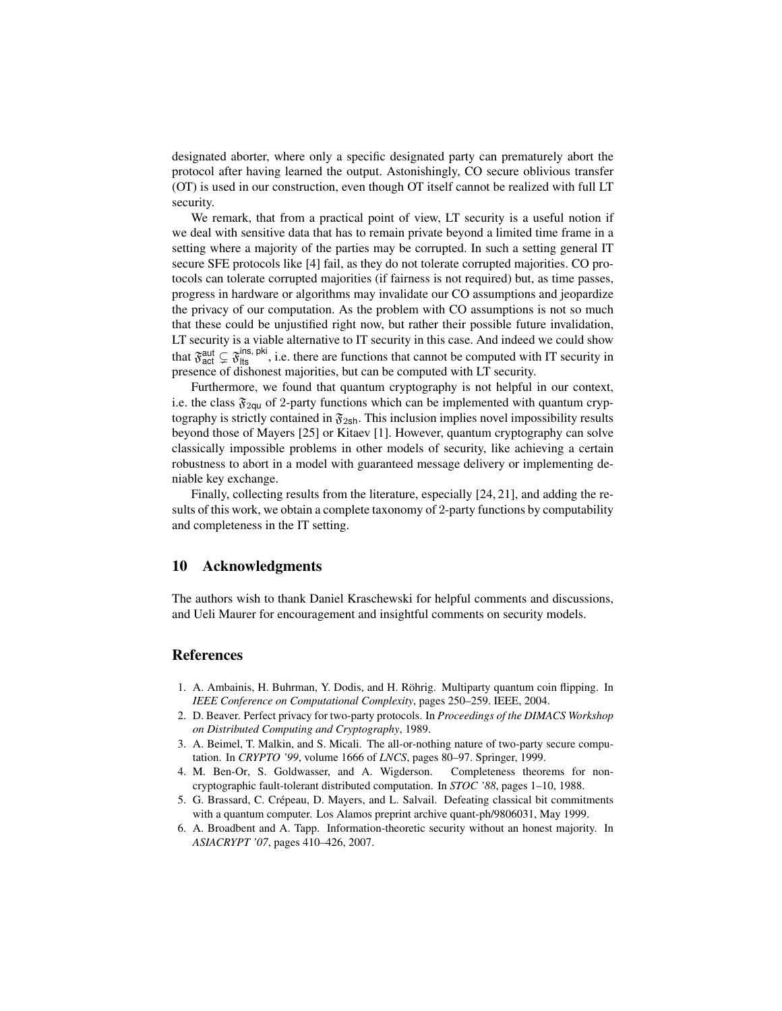designated aborter, where only a specific designated party can prematurely abort the protocol after having learned the output. Astonishingly, CO secure oblivious transfer (OT) is used in our construction, even though OT itself cannot be realized with full LT security.

We remark, that from a practical point of view, LT security is a useful notion if we deal with sensitive data that has to remain private beyond a limited time frame in a setting where a majority of the parties may be corrupted. In such a setting general IT secure SFE protocols like [4] fail, as they do not tolerate corrupted majorities. CO protocols can tolerate corrupted majorities (if fairness is not required) but, as time passes, progress in hardware or algorithms may invalidate our CO assumptions and jeopardize the privacy of our computation. As the problem with CO assumptions is not so much that these could be unjustified right now, but rather their possible future invalidation, LT security is a viable alternative to IT security in this case. And indeed we could show that  $\mathfrak{F}_{\text{act}}^{\text{aut}} \subsetneq \mathfrak{F}_{\text{its}}^{\text{ins, pik}}$ , i.e. there are functions that cannot be computed with IT security in presence of dishonest majorities, but can be computed with LT security.

Furthermore, we found that quantum cryptography is not helpful in our context, i.e. the class  $\mathfrak{F}_{2\text{qu}}$  of 2-party functions which can be implemented with quantum cryptography is strictly contained in  $\mathfrak{F}_{2sh}$ . This inclusion implies novel impossibility results beyond those of Mayers [25] or Kitaev [1]. However, quantum cryptography can solve classically impossible problems in other models of security, like achieving a certain robustness to abort in a model with guaranteed message delivery or implementing deniable key exchange.

Finally, collecting results from the literature, especially [24, 21], and adding the results of this work, we obtain a complete taxonomy of 2-party functions by computability and completeness in the IT setting.

### 10 Acknowledgments

The authors wish to thank Daniel Kraschewski for helpful comments and discussions, and Ueli Maurer for encouragement and insightful comments on security models.

### References

- 1. A. Ambainis, H. Buhrman, Y. Dodis, and H. Rohrig. Multiparty quantum coin flipping. In ¨ *IEEE Conference on Computational Complexity*, pages 250–259. IEEE, 2004.
- 2. D. Beaver. Perfect privacy for two-party protocols. In *Proceedings of the DIMACS Workshop on Distributed Computing and Cryptography*, 1989.
- 3. A. Beimel, T. Malkin, and S. Micali. The all-or-nothing nature of two-party secure computation. In *CRYPTO '99*, volume 1666 of *LNCS*, pages 80–97. Springer, 1999.
- 4. M. Ben-Or, S. Goldwasser, and A. Wigderson. Completeness theorems for noncryptographic fault-tolerant distributed computation. In *STOC '88*, pages 1–10, 1988.
- 5. G. Brassard, C. Crepeau, D. Mayers, and L. Salvail. Defeating classical bit commitments ´ with a quantum computer. Los Alamos preprint archive quant-ph/9806031, May 1999.
- 6. A. Broadbent and A. Tapp. Information-theoretic security without an honest majority. In *ASIACRYPT '07*, pages 410–426, 2007.